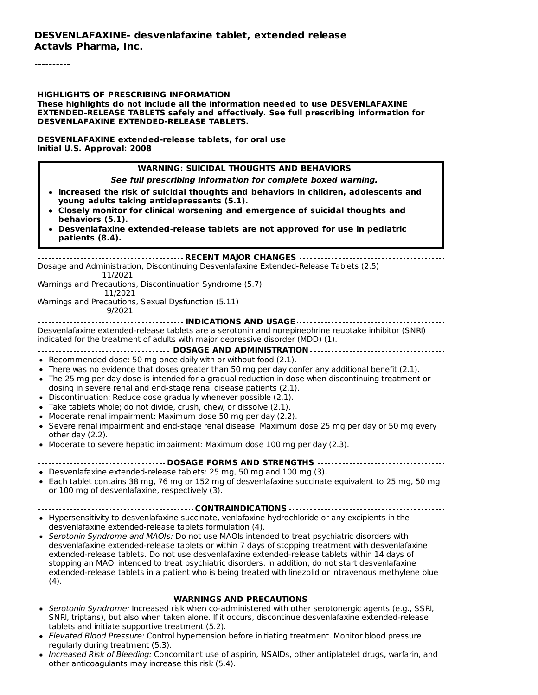#### **DESVENLAFAXINE- desvenlafaxine tablet, extended release Actavis Pharma, Inc.**

----------

#### **HIGHLIGHTS OF PRESCRIBING INFORMATION**

**These highlights do not include all the information needed to use DESVENLAFAXINE EXTENDED-RELEASE TABLETS safely and effectively. See full prescribing information for DESVENLAFAXINE EXTENDED-RELEASE TABLETS.**

#### **DESVENLAFAXINE extended-release tablets, for oral use Initial U.S. Approval: 2008**

| <b>WARNING: SUICIDAL THOUGHTS AND BEHAVIORS</b>                                                                                                                                                      |
|------------------------------------------------------------------------------------------------------------------------------------------------------------------------------------------------------|
| See full prescribing information for complete boxed warning.                                                                                                                                         |
| Increased the risk of suicidal thoughts and behaviors in children, adolescents and                                                                                                                   |
| young adults taking antidepressants (5.1).                                                                                                                                                           |
| Closely monitor for clinical worsening and emergence of suicidal thoughts and                                                                                                                        |
| behaviors (5.1).                                                                                                                                                                                     |
| Desvenlafaxine extended-release tablets are not approved for use in pediatric<br>patients (8.4).                                                                                                     |
|                                                                                                                                                                                                      |
| RECENT MAJOR CHANGES                                                                                                                                                                                 |
| Dosage and Administration, Discontinuing Desvenlafaxine Extended-Release Tablets (2.5)                                                                                                               |
| 11/2021<br>Warnings and Precautions, Discontinuation Syndrome (5.7)                                                                                                                                  |
| 11/2021                                                                                                                                                                                              |
| Warnings and Precautions, Sexual Dysfunction (5.11)<br>9/2021                                                                                                                                        |
| INDICATIONS AND USAGE                                                                                                                                                                                |
| Desvenlafaxine extended-release tablets are a serotonin and norepinephrine reuptake inhibitor (SNRI)<br>indicated for the treatment of adults with major depressive disorder (MDD) (1).              |
|                                                                                                                                                                                                      |
| • Recommended dose: 50 mg once daily with or without food (2.1).<br>• There was no evidence that doses greater than 50 mg per day confer any additional benefit (2.1).                               |
| The 25 mg per day dose is intended for a gradual reduction in dose when discontinuing treatment or<br>$\bullet$                                                                                      |
| dosing in severe renal and end-stage renal disease patients (2.1).                                                                                                                                   |
| · Discontinuation: Reduce dose gradually whenever possible (2.1).                                                                                                                                    |
| Take tablets whole; do not divide, crush, chew, or dissolve (2.1).<br>٠                                                                                                                              |
| • Moderate renal impairment: Maximum dose 50 mg per day (2.2).                                                                                                                                       |
| • Severe renal impairment and end-stage renal disease: Maximum dose 25 mg per day or 50 mg every<br>other day (2.2).                                                                                 |
| • Moderate to severe hepatic impairment: Maximum dose 100 mg per day (2.3).                                                                                                                          |
| DOSAGE FORMS AND STRENGTHS                                                                                                                                                                           |
| • Desvenlafaxine extended-release tablets: 25 mg, 50 mg and 100 mg (3).                                                                                                                              |
| • Each tablet contains 38 mg, 76 mg or 152 mg of desvenlafaxine succinate equivalent to 25 mg, 50 mg<br>or 100 mg of desvenlafaxine, respectively (3).                                               |
|                                                                                                                                                                                                      |
| • Hypersensitivity to desvenlafaxine succinate, venlafaxine hydrochloride or any excipients in the                                                                                                   |
| desvenlafaxine extended-release tablets formulation (4).                                                                                                                                             |
| • Serotonin Syndrome and MAOIs: Do not use MAOIs intended to treat psychiatric disorders with                                                                                                        |
| desvenlafaxine extended-release tablets or within 7 days of stopping treatment with desvenlafaxine                                                                                                   |
| extended-release tablets. Do not use desvenlafaxine extended-release tablets within 14 days of<br>stopping an MAOI intended to treat psychiatric disorders. In addition, do not start desvenlafaxine |
| extended-release tablets in a patient who is being treated with linezolid or intravenous methylene blue                                                                                              |
| (4).                                                                                                                                                                                                 |
| ------------------------------- WARNINGS AND PRECAUTIONS ----------------------------------                                                                                                          |
| • Serotonin Syndrome: Increased risk when co-administered with other serotonergic agents (e.g., SSRI,                                                                                                |
| SNRI, triptans), but also when taken alone. If it occurs, discontinue desvenlafaxine extended-release                                                                                                |
| tablets and initiate supportive treatment (5.2).                                                                                                                                                     |
| • Elevated Blood Pressure: Control hypertension before initiating treatment. Monitor blood pressure                                                                                                  |
| regularly during treatment (5.3).<br>seed Bigle of Bloodings: Concernitorships of conjuin NCAIDe, other optimized drugs, up ufouin                                                                   |

• Increased Risk of Bleeding: Concomitant use of aspirin, NSAIDs, other antiplatelet drugs, warfarin, and other anticoagulants may increase this risk (5.4).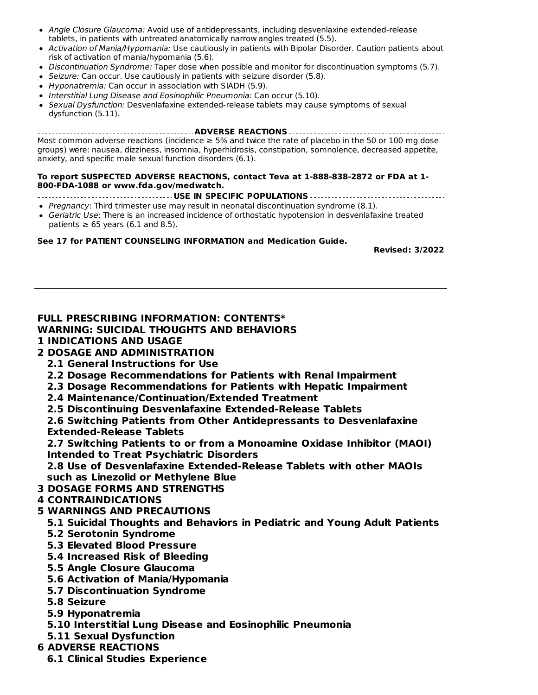- Angle Closure Glaucoma: Avoid use of antidepressants, including desvenlaxine extended-release tablets, in patients with untreated anatomically narrow angles treated (5.5).
- Activation of Mania/Hypomania: Use cautiously in patients with Bipolar Disorder. Caution patients about risk of activation of mania/hypomania (5.6).
- Discontinuation Syndrome: Taper dose when possible and monitor for discontinuation symptoms (5.7).
- Seizure: Can occur. Use cautiously in patients with seizure disorder (5.8).
- Hyponatremia: Can occur in association with SIADH (5.9).
- Interstitial Lung Disease and Eosinophilic Pneumonia: Can occur (5.10).
- **Sexual Dysfunction: Desvenlafaxine extended-release tablets may cause symptoms of sexual** dysfunction (5.11).

**ADVERSE REACTIONS** Most common adverse reactions (incidence  $\geq$  5% and twice the rate of placebo in the 50 or 100 mg dose groups) were: nausea, dizziness, insomnia, hyperhidrosis, constipation, somnolence, decreased appetite, anxiety, and specific male sexual function disorders (6.1).

#### **To report SUSPECTED ADVERSE REACTIONS, contact Teva at 1-888-838-2872 or FDA at 1- 800-FDA-1088 or www.fda.gov/medwatch.**

- **USE IN SPECIFIC POPULATIONS**
- Pregnancy: Third trimester use may result in neonatal discontinuation syndrome  $(8.1)$ .
- Geriatric Use: There is an increased incidence of orthostatic hypotension in desvenlafaxine treated patients  $\geq 65$  years (6.1 and 8.5).

#### **See 17 for PATIENT COUNSELING INFORMATION and Medication Guide.**

**Revised: 3/2022**

### **FULL PRESCRIBING INFORMATION: CONTENTS\***

- **WARNING: SUICIDAL THOUGHTS AND BEHAVIORS**
- **1 INDICATIONS AND USAGE**
- **2 DOSAGE AND ADMINISTRATION**
	- **2.1 General Instructions for Use**
	- **2.2 Dosage Recommendations for Patients with Renal Impairment**
	- **2.3 Dosage Recommendations for Patients with Hepatic Impairment**
	- **2.4 Maintenance/Continuation/Extended Treatment**
	- **2.5 Discontinuing Desvenlafaxine Extended-Release Tablets**

**2.6 Switching Patients from Other Antidepressants to Desvenlafaxine Extended-Release Tablets**

**2.7 Switching Patients to or from a Monoamine Oxidase Inhibitor (MAOI) Intended to Treat Psychiatric Disorders**

**2.8 Use of Desvenlafaxine Extended-Release Tablets with other MAOIs such as Linezolid or Methylene Blue**

- **3 DOSAGE FORMS AND STRENGTHS**
- **4 CONTRAINDICATIONS**
- **5 WARNINGS AND PRECAUTIONS**
	- **5.1 Suicidal Thoughts and Behaviors in Pediatric and Young Adult Patients**
	- **5.2 Serotonin Syndrome**
	- **5.3 Elevated Blood Pressure**
	- **5.4 Increased Risk of Bleeding**
	- **5.5 Angle Closure Glaucoma**
	- **5.6 Activation of Mania/Hypomania**
	- **5.7 Discontinuation Syndrome**
	- **5.8 Seizure**
	- **5.9 Hyponatremia**
	- **5.10 Interstitial Lung Disease and Eosinophilic Pneumonia**
	- **5.11 Sexual Dysfunction**

#### **6 ADVERSE REACTIONS**

**6.1 Clinical Studies Experience**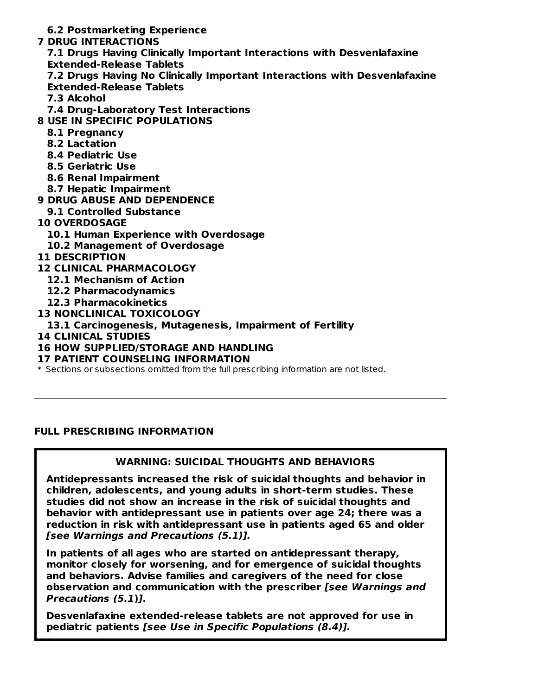- **6.2 Postmarketing Experience**
- **7 DRUG INTERACTIONS**
	- **7.1 Drugs Having Clinically Important Interactions with Desvenlafaxine Extended-Release Tablets**
	- **7.2 Drugs Having No Clinically Important Interactions with Desvenlafaxine**
	- **Extended-Release Tablets**
	- **7.3 Alcohol**
	- **7.4 Drug-Laboratory Test Interactions**
- **8 USE IN SPECIFIC POPULATIONS**
	- **8.1 Pregnancy**
	- **8.2 Lactation**
	- **8.4 Pediatric Use**
	- **8.5 Geriatric Use**
	- **8.6 Renal Impairment**
	- **8.7 Hepatic Impairment**
- **9 DRUG ABUSE AND DEPENDENCE**
	- **9.1 Controlled Substance**
- **10 OVERDOSAGE**
	- **10.1 Human Experience with Overdosage**
	- **10.2 Management of Overdosage**
- **11 DESCRIPTION**
- **12 CLINICAL PHARMACOLOGY**
	- **12.1 Mechanism of Action**
	- **12.2 Pharmacodynamics**
	- **12.3 Pharmacokinetics**
- **13 NONCLINICAL TOXICOLOGY**
- **13.1 Carcinogenesis, Mutagenesis, Impairment of Fertility**
- **14 CLINICAL STUDIES**
- **16 HOW SUPPLIED/STORAGE AND HANDLING**
- **17 PATIENT COUNSELING INFORMATION**

\* Sections or subsections omitted from the full prescribing information are not listed.

# **FULL PRESCRIBING INFORMATION**

# **WARNING: SUICIDAL THOUGHTS AND BEHAVIORS**

**Antidepressants increased the risk of suicidal thoughts and behavior in children, adolescents, and young adults in short-term studies. These studies did not show an increase in the risk of suicidal thoughts and behavior with antidepressant use in patients over age 24; there was a reduction in risk with antidepressant use in patients aged 65 and older [see Warnings and Precautions (5.1)].**

**In patients of all ages who are started on antidepressant therapy, monitor closely for worsening, and for emergence of suicidal thoughts and behaviors. Advise families and caregivers of the need for close observation and communication with the prescriber [see Warnings and Precautions (5.1)].**

**Desvenlafaxine extended-release tablets are not approved for use in pediatric patients [see Use in Specific Populations (8.4)].**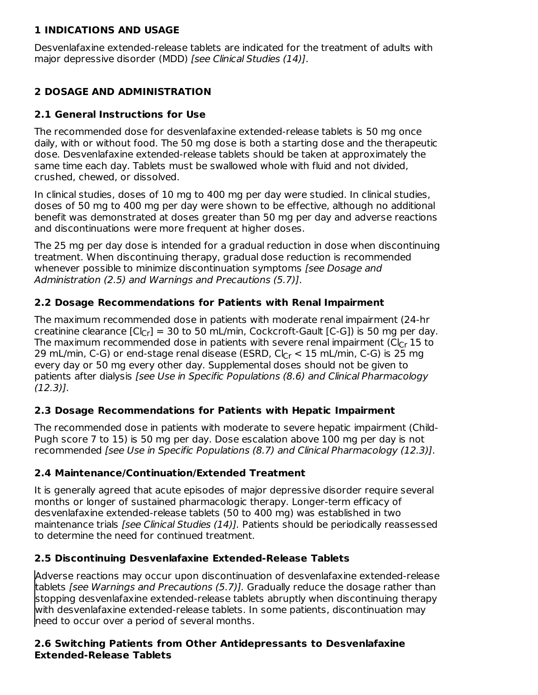# **1 INDICATIONS AND USAGE**

Desvenlafaxine extended-release tablets are indicated for the treatment of adults with major depressive disorder (MDD) [see Clinical Studies (14)].

# **2 DOSAGE AND ADMINISTRATION**

# **2.1 General Instructions for Use**

The recommended dose for desvenlafaxine extended-release tablets is 50 mg once daily, with or without food. The 50 mg dose is both a starting dose and the therapeutic dose. Desvenlafaxine extended-release tablets should be taken at approximately the same time each day. Tablets must be swallowed whole with fluid and not divided, crushed, chewed, or dissolved.

In clinical studies, doses of 10 mg to 400 mg per day were studied. In clinical studies, doses of 50 mg to 400 mg per day were shown to be effective, although no additional benefit was demonstrated at doses greater than 50 mg per day and adverse reactions and discontinuations were more frequent at higher doses.

The 25 mg per day dose is intended for a gradual reduction in dose when discontinuing treatment. When discontinuing therapy, gradual dose reduction is recommended whenever possible to minimize discontinuation symptoms [see Dosage and Administration (2.5) and Warnings and Precautions (5.7)].

### **2.2 Dosage Recommendations for Patients with Renal Impairment**

The maximum recommended dose in patients with moderate renal impairment (24-hr creatinine clearance  $[Cl_{Cr}] = 30$  to 50 mL/min, Cockcroft-Gault  $[C-G]$ ) is 50 mg per day. The maximum recommended dose in patients with severe renal impairment (Cl $_{\rm Cr}$  15 to 29 mL/min, C-G) or end-stage renal disease (ESRD, Cl $_{\rm Cr}$   $<$  15 mL/min, C-G) is 25 mg every day or 50 mg every other day. Supplemental doses should not be given to patients after dialysis [see Use in Specific Populations (8.6) and Clinical Pharmacology (12.3)].

# **2.3 Dosage Recommendations for Patients with Hepatic Impairment**

The recommended dose in patients with moderate to severe hepatic impairment (Child-Pugh score 7 to 15) is 50 mg per day. Dose escalation above 100 mg per day is not recommended [see Use in Specific Populations (8.7) and Clinical Pharmacology (12.3)].

# **2.4 Maintenance/Continuation/Extended Treatment**

It is generally agreed that acute episodes of major depressive disorder require several months or longer of sustained pharmacologic therapy. Longer-term efficacy of desvenlafaxine extended-release tablets (50 to 400 mg) was established in two maintenance trials *[see Clinical Studies (14)]*. Patients should be periodically reassessed to determine the need for continued treatment.

# **2.5 Discontinuing Desvenlafaxine Extended-Release Tablets**

Adverse reactions may occur upon discontinuation of desvenlafaxine extended-release tablets *[see Warnings and Precautions (5.7)]*. Gradually reduce the dosage rather than stopping desvenlafaxine extended-release tablets abruptly when discontinuing therapy with desvenlafaxine extended-release tablets. In some patients, discontinuation may need to occur over a period of several months.

### **2.6 Switching Patients from Other Antidepressants to Desvenlafaxine Extended-Release Tablets**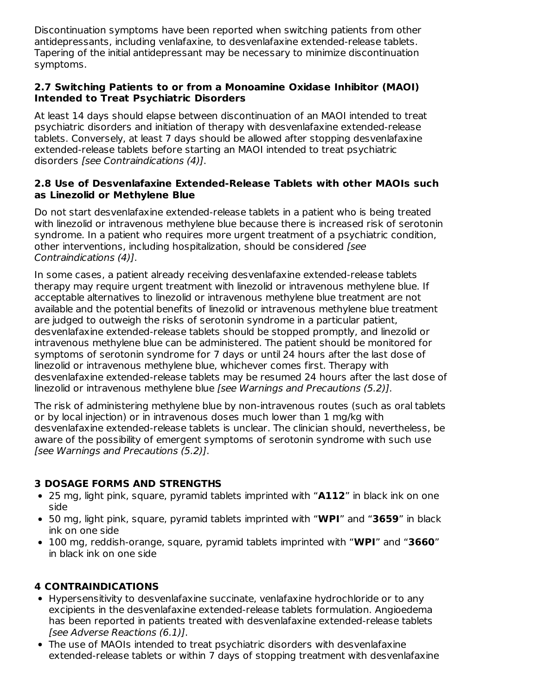Discontinuation symptoms have been reported when switching patients from other antidepressants, including venlafaxine, to desvenlafaxine extended-release tablets. Tapering of the initial antidepressant may be necessary to minimize discontinuation symptoms.

### **2.7 Switching Patients to or from a Monoamine Oxidase Inhibitor (MAOI) Intended to Treat Psychiatric Disorders**

At least 14 days should elapse between discontinuation of an MAOI intended to treat psychiatric disorders and initiation of therapy with desvenlafaxine extended-release tablets. Conversely, at least 7 days should be allowed after stopping desvenlafaxine extended-release tablets before starting an MAOI intended to treat psychiatric disorders [see Contraindications (4)].

### **2.8 Use of Desvenlafaxine Extended-Release Tablets with other MAOIs such as Linezolid or Methylene Blue**

Do not start desvenlafaxine extended-release tablets in a patient who is being treated with linezolid or intravenous methylene blue because there is increased risk of serotonin syndrome. In a patient who requires more urgent treatment of a psychiatric condition, other interventions, including hospitalization, should be considered [see Contraindications (4)].

In some cases, a patient already receiving desvenlafaxine extended-release tablets therapy may require urgent treatment with linezolid or intravenous methylene blue. If acceptable alternatives to linezolid or intravenous methylene blue treatment are not available and the potential benefits of linezolid or intravenous methylene blue treatment are judged to outweigh the risks of serotonin syndrome in a particular patient, desvenlafaxine extended-release tablets should be stopped promptly, and linezolid or intravenous methylene blue can be administered. The patient should be monitored for symptoms of serotonin syndrome for 7 days or until 24 hours after the last dose of linezolid or intravenous methylene blue, whichever comes first. Therapy with desvenlafaxine extended-release tablets may be resumed 24 hours after the last dose of linezolid or intravenous methylene blue [see Warnings and Precautions (5.2)].

The risk of administering methylene blue by non-intravenous routes (such as oral tablets or by local injection) or in intravenous doses much lower than 1 mg/kg with desvenlafaxine extended-release tablets is unclear. The clinician should, nevertheless, be aware of the possibility of emergent symptoms of serotonin syndrome with such use [see Warnings and Precautions (5.2)].

### **3 DOSAGE FORMS AND STRENGTHS**

- 25 mg, light pink, square, pyramid tablets imprinted with "**A112**" in black ink on one side
- 50 mg, light pink, square, pyramid tablets imprinted with "**WPI**" and "**3659**" in black ink on one side
- 100 mg, reddish-orange, square, pyramid tablets imprinted with "**WPI**" and "**3660**" in black ink on one side

# **4 CONTRAINDICATIONS**

- Hypersensitivity to desvenlafaxine succinate, venlafaxine hydrochloride or to any excipients in the desvenlafaxine extended-release tablets formulation. Angioedema has been reported in patients treated with desvenlafaxine extended-release tablets [see Adverse Reactions (6.1)].
- The use of MAOIs intended to treat psychiatric disorders with desvenlafaxine extended-release tablets or within 7 days of stopping treatment with desvenlafaxine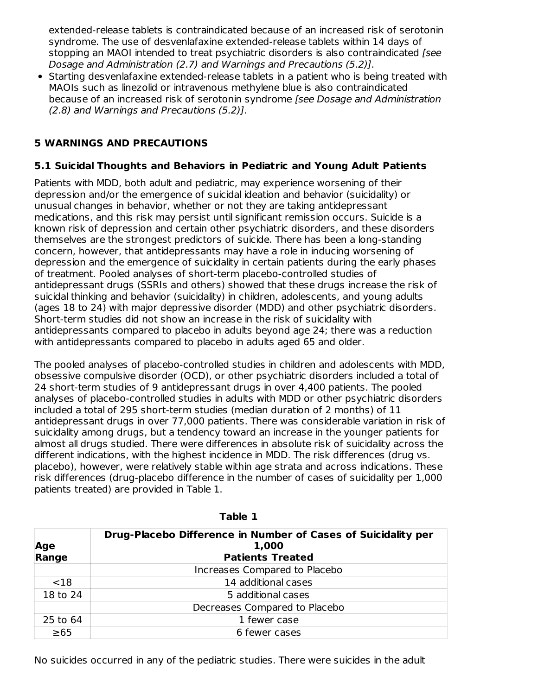extended-release tablets is contraindicated because of an increased risk of serotonin syndrome. The use of desvenlafaxine extended-release tablets within 14 days of stopping an MAOI intended to treat psychiatric disorders is also contraindicated [see Dosage and Administration (2.7) and Warnings and Precautions (5.2)].

• Starting desvenlafaxine extended-release tablets in a patient who is being treated with MAOIs such as linezolid or intravenous methylene blue is also contraindicated because of an increased risk of serotonin syndrome [see Dosage and Administration (2.8) and Warnings and Precautions (5.2)].

### **5 WARNINGS AND PRECAUTIONS**

### **5.1 Suicidal Thoughts and Behaviors in Pediatric and Young Adult Patients**

Patients with MDD, both adult and pediatric, may experience worsening of their depression and/or the emergence of suicidal ideation and behavior (suicidality) or unusual changes in behavior, whether or not they are taking antidepressant medications, and this risk may persist until significant remission occurs. Suicide is a known risk of depression and certain other psychiatric disorders, and these disorders themselves are the strongest predictors of suicide. There has been a long-standing concern, however, that antidepressants may have a role in inducing worsening of depression and the emergence of suicidality in certain patients during the early phases of treatment. Pooled analyses of short-term placebo-controlled studies of antidepressant drugs (SSRIs and others) showed that these drugs increase the risk of suicidal thinking and behavior (suicidality) in children, adolescents, and young adults (ages 18 to 24) with major depressive disorder (MDD) and other psychiatric disorders. Short-term studies did not show an increase in the risk of suicidality with antidepressants compared to placebo in adults beyond age 24; there was a reduction with antidepressants compared to placebo in adults aged 65 and older.

The pooled analyses of placebo-controlled studies in children and adolescents with MDD, obsessive compulsive disorder (OCD), or other psychiatric disorders included a total of 24 short-term studies of 9 antidepressant drugs in over 4,400 patients. The pooled analyses of placebo-controlled studies in adults with MDD or other psychiatric disorders included a total of 295 short-term studies (median duration of 2 months) of 11 antidepressant drugs in over 77,000 patients. There was considerable variation in risk of suicidality among drugs, but a tendency toward an increase in the younger patients for almost all drugs studied. There were differences in absolute risk of suicidality across the different indications, with the highest incidence in MDD. The risk differences (drug vs. placebo), however, were relatively stable within age strata and across indications. These risk differences (drug-placebo difference in the number of cases of suicidality per 1,000 patients treated) are provided in Table 1.

| Age       | Drug-Placebo Difference in Number of Cases of Suicidality per<br>1,000 |
|-----------|------------------------------------------------------------------------|
| Range     | <b>Patients Treated</b>                                                |
|           | Increases Compared to Placebo                                          |
| $<$ 18    | 14 additional cases                                                    |
| 18 to 24  | 5 additional cases                                                     |
|           | Decreases Compared to Placebo                                          |
| 25 to 64  | 1 fewer case                                                           |
| $\geq 65$ | 6 fewer cases                                                          |

| L<br>U<br>٧ |  |
|-------------|--|
|-------------|--|

No suicides occurred in any of the pediatric studies. There were suicides in the adult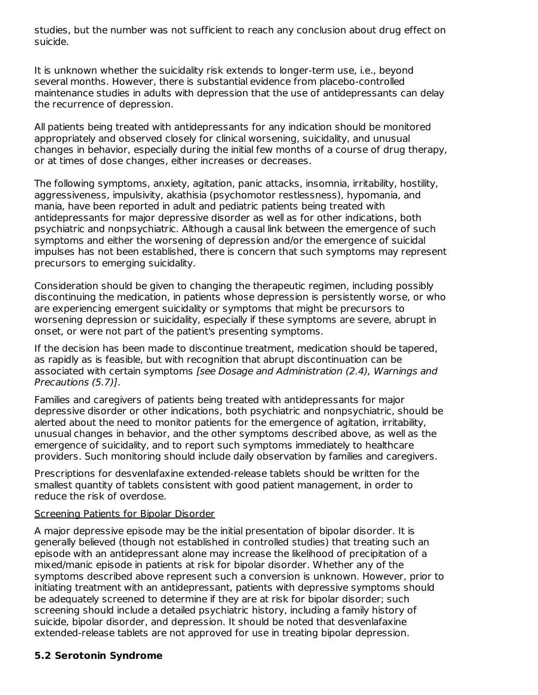studies, but the number was not sufficient to reach any conclusion about drug effect on suicide.

It is unknown whether the suicidality risk extends to longer-term use, i.e., beyond several months. However, there is substantial evidence from placebo-controlled maintenance studies in adults with depression that the use of antidepressants can delay the recurrence of depression.

All patients being treated with antidepressants for any indication should be monitored appropriately and observed closely for clinical worsening, suicidality, and unusual changes in behavior, especially during the initial few months of a course of drug therapy, or at times of dose changes, either increases or decreases.

The following symptoms, anxiety, agitation, panic attacks, insomnia, irritability, hostility, aggressiveness, impulsivity, akathisia (psychomotor restlessness), hypomania, and mania, have been reported in adult and pediatric patients being treated with antidepressants for major depressive disorder as well as for other indications, both psychiatric and nonpsychiatric. Although a causal link between the emergence of such symptoms and either the worsening of depression and/or the emergence of suicidal impulses has not been established, there is concern that such symptoms may represent precursors to emerging suicidality.

Consideration should be given to changing the therapeutic regimen, including possibly discontinuing the medication, in patients whose depression is persistently worse, or who are experiencing emergent suicidality or symptoms that might be precursors to worsening depression or suicidality, especially if these symptoms are severe, abrupt in onset, or were not part of the patient's presenting symptoms.

If the decision has been made to discontinue treatment, medication should be tapered, as rapidly as is feasible, but with recognition that abrupt discontinuation can be associated with certain symptoms [see Dosage and Administration (2.4), Warnings and Precautions (5.7)].

Families and caregivers of patients being treated with antidepressants for major depressive disorder or other indications, both psychiatric and nonpsychiatric, should be alerted about the need to monitor patients for the emergence of agitation, irritability, unusual changes in behavior, and the other symptoms described above, as well as the emergence of suicidality, and to report such symptoms immediately to healthcare providers. Such monitoring should include daily observation by families and caregivers.

Prescriptions for desvenlafaxine extended-release tablets should be written for the smallest quantity of tablets consistent with good patient management, in order to reduce the risk of overdose.

#### Screening Patients for Bipolar Disorder

A major depressive episode may be the initial presentation of bipolar disorder. It is generally believed (though not established in controlled studies) that treating such an episode with an antidepressant alone may increase the likelihood of precipitation of a mixed/manic episode in patients at risk for bipolar disorder. Whether any of the symptoms described above represent such a conversion is unknown. However, prior to initiating treatment with an antidepressant, patients with depressive symptoms should be adequately screened to determine if they are at risk for bipolar disorder; such screening should include a detailed psychiatric history, including a family history of suicide, bipolar disorder, and depression. It should be noted that desvenlafaxine extended-release tablets are not approved for use in treating bipolar depression.

### **5.2 Serotonin Syndrome**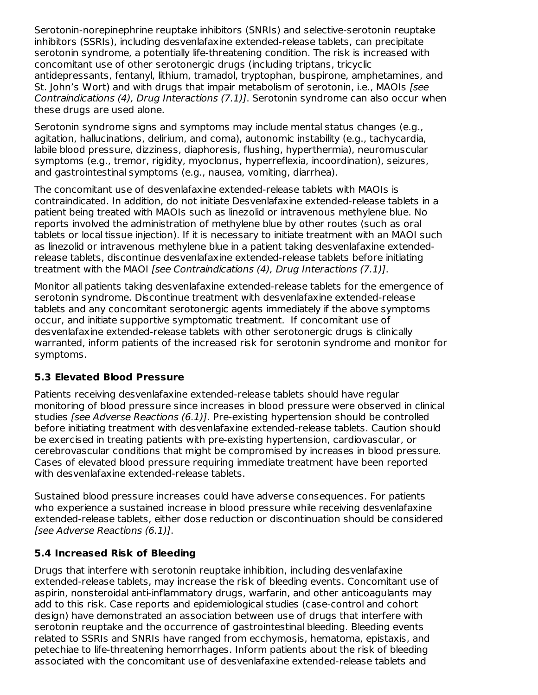Serotonin-norepinephrine reuptake inhibitors (SNRIs) and selective-serotonin reuptake inhibitors (SSRIs), including desvenlafaxine extended-release tablets, can precipitate serotonin syndrome, a potentially life-threatening condition. The risk is increased with concomitant use of other serotonergic drugs (including triptans, tricyclic antidepressants, fentanyl, lithium, tramadol, tryptophan, buspirone, amphetamines, and St. John's Wort) and with drugs that impair metabolism of serotonin, i.e., MAOIs [see Contraindications (4), Drug Interactions (7.1)]. Serotonin syndrome can also occur when these drugs are used alone.

Serotonin syndrome signs and symptoms may include mental status changes (e.g., agitation, hallucinations, delirium, and coma), autonomic instability (e.g., tachycardia, labile blood pressure, dizziness, diaphoresis, flushing, hyperthermia), neuromuscular symptoms (e.g., tremor, rigidity, myoclonus, hyperreflexia, incoordination), seizures, and gastrointestinal symptoms (e.g., nausea, vomiting, diarrhea).

The concomitant use of desvenlafaxine extended-release tablets with MAOIs is contraindicated. In addition, do not initiate Desvenlafaxine extended-release tablets in a patient being treated with MAOIs such as linezolid or intravenous methylene blue. No reports involved the administration of methylene blue by other routes (such as oral tablets or local tissue injection). If it is necessary to initiate treatment with an MAOI such as linezolid or intravenous methylene blue in a patient taking desvenlafaxine extendedrelease tablets, discontinue desvenlafaxine extended-release tablets before initiating treatment with the MAOI [see Contraindications (4), Drug Interactions (7.1)].

Monitor all patients taking desvenlafaxine extended-release tablets for the emergence of serotonin syndrome. Discontinue treatment with desvenlafaxine extended-release tablets and any concomitant serotonergic agents immediately if the above symptoms occur, and initiate supportive symptomatic treatment. If concomitant use of desvenlafaxine extended-release tablets with other serotonergic drugs is clinically warranted, inform patients of the increased risk for serotonin syndrome and monitor for symptoms.

# **5.3 Elevated Blood Pressure**

Patients receiving desvenlafaxine extended-release tablets should have regular monitoring of blood pressure since increases in blood pressure were observed in clinical studies [see Adverse Reactions (6.1)]. Pre-existing hypertension should be controlled before initiating treatment with desvenlafaxine extended-release tablets. Caution should be exercised in treating patients with pre-existing hypertension, cardiovascular, or cerebrovascular conditions that might be compromised by increases in blood pressure. Cases of elevated blood pressure requiring immediate treatment have been reported with desvenlafaxine extended-release tablets.

Sustained blood pressure increases could have adverse consequences. For patients who experience a sustained increase in blood pressure while receiving desvenlafaxine extended-release tablets, either dose reduction or discontinuation should be considered [see Adverse Reactions (6.1)].

# **5.4 Increased Risk of Bleeding**

Drugs that interfere with serotonin reuptake inhibition, including desvenlafaxine extended-release tablets, may increase the risk of bleeding events. Concomitant use of aspirin, nonsteroidal anti-inflammatory drugs, warfarin, and other anticoagulants may add to this risk. Case reports and epidemiological studies (case-control and cohort design) have demonstrated an association between use of drugs that interfere with serotonin reuptake and the occurrence of gastrointestinal bleeding. Bleeding events related to SSRIs and SNRIs have ranged from ecchymosis, hematoma, epistaxis, and petechiae to life-threatening hemorrhages. Inform patients about the risk of bleeding associated with the concomitant use of desvenlafaxine extended-release tablets and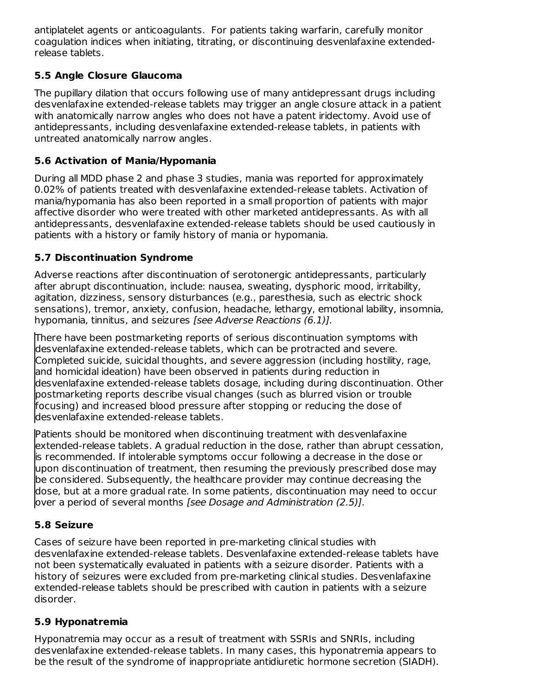antiplatelet agents or anticoagulants. For patients taking warfarin, carefully monitor coagulation indices when initiating, titrating, or discontinuing desvenlafaxine extendedrelease tablets.

# **5.5 Angle Closure Glaucoma**

The pupillary dilation that occurs following use of many antidepressant drugs including desvenlafaxine extended-release tablets may trigger an angle closure attack in a patient with anatomically narrow angles who does not have a patent iridectomy. Avoid use of antidepressants, including desvenlafaxine extended-release tablets, in patients with untreated anatomically narrow angles.

### **5.6 Activation of Mania/Hypomania**

During all MDD phase 2 and phase 3 studies, mania was reported for approximately 0.02% of patients treated with desvenlafaxine extended-release tablets. Activation of mania/hypomania has also been reported in a small proportion of patients with major affective disorder who were treated with other marketed antidepressants. As with all antidepressants, desvenlafaxine extended-release tablets should be used cautiously in patients with a history or family history of mania or hypomania.

### **5.7 Discontinuation Syndrome**

Adverse reactions after discontinuation of serotonergic antidepressants, particularly after abrupt discontinuation, include: nausea, sweating, dysphoric mood, irritability, agitation, dizziness, sensory disturbances (e.g., paresthesia, such as electric shock sensations), tremor, anxiety, confusion, headache, lethargy, emotional lability, insomnia, hypomania, tinnitus, and seizures [see Adverse Reactions (6.1)].

There have been postmarketing reports of serious discontinuation symptoms with desvenlafaxine extended-release tablets, which can be protracted and severe. Completed suicide, suicidal thoughts, and severe aggression (including hostility, rage, and homicidal ideation) have been observed in patients during reduction in desvenlafaxine extended-release tablets dosage, including during discontinuation. Other postmarketing reports describe visual changes (such as blurred vision or trouble focusing) and increased blood pressure after stopping or reducing the dose of desvenlafaxine extended-release tablets.

Patients should be monitored when discontinuing treatment with desvenlafaxine extended-release tablets. A gradual reduction in the dose, rather than abrupt cessation, is recommended. If intolerable symptoms occur following a decrease in the dose or upon discontinuation of treatment, then resuming the previously prescribed dose may be considered. Subsequently, the healthcare provider may continue decreasing the dose, but at a more gradual rate. In some patients, discontinuation may need to occur over a period of several months [see Dosage and Administration (2.5)].

### **5.8 Seizure**

Cases of seizure have been reported in pre-marketing clinical studies with desvenlafaxine extended-release tablets. Desvenlafaxine extended-release tablets have not been systematically evaluated in patients with a seizure disorder. Patients with a history of seizures were excluded from pre-marketing clinical studies. Desvenlafaxine extended-release tablets should be prescribed with caution in patients with a seizure disorder.

### **5.9 Hyponatremia**

Hyponatremia may occur as a result of treatment with SSRIs and SNRIs, including desvenlafaxine extended-release tablets. In many cases, this hyponatremia appears to be the result of the syndrome of inappropriate antidiuretic hormone secretion (SIADH).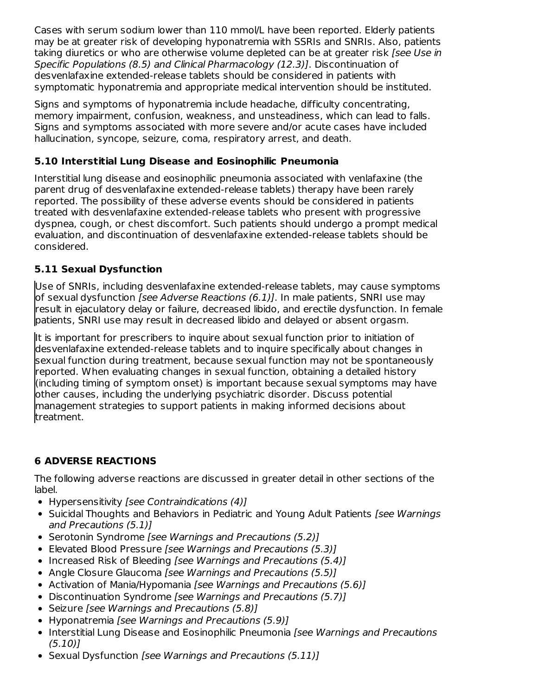Cases with serum sodium lower than 110 mmol/L have been reported. Elderly patients may be at greater risk of developing hyponatremia with SSRIs and SNRIs. Also, patients taking diuretics or who are otherwise volume depleted can be at greater risk [see Use in Specific Populations (8.5) and Clinical Pharmacology (12.3)]. Discontinuation of desvenlafaxine extended-release tablets should be considered in patients with symptomatic hyponatremia and appropriate medical intervention should be instituted.

Signs and symptoms of hyponatremia include headache, difficulty concentrating, memory impairment, confusion, weakness, and unsteadiness, which can lead to falls. Signs and symptoms associated with more severe and/or acute cases have included hallucination, syncope, seizure, coma, respiratory arrest, and death.

# **5.10 Interstitial Lung Disease and Eosinophilic Pneumonia**

Interstitial lung disease and eosinophilic pneumonia associated with venlafaxine (the parent drug of desvenlafaxine extended-release tablets) therapy have been rarely reported. The possibility of these adverse events should be considered in patients treated with desvenlafaxine extended-release tablets who present with progressive dyspnea, cough, or chest discomfort. Such patients should undergo a prompt medical evaluation, and discontinuation of desvenlafaxine extended-release tablets should be considered.

# **5.11 Sexual Dysfunction**

Use of SNRIs, including desvenlafaxine extended-release tablets, may cause symptoms of sexual dysfunction *[see Adverse Reactions (6.1)]*. In male patients, SNRI use may result in ejaculatory delay or failure, decreased libido, and erectile dysfunction. In female patients, SNRI use may result in decreased libido and delayed or absent orgasm.

It is important for prescribers to inquire about sexual function prior to initiation of desvenlafaxine extended-release tablets and to inquire specifically about changes in sexual function during treatment, because sexual function may not be spontaneously reported. When evaluating changes in sexual function, obtaining a detailed history (including timing of symptom onset) is important because sexual symptoms may have other causes, including the underlying psychiatric disorder. Discuss potential management strategies to support patients in making informed decisions about treatment.

# **6 ADVERSE REACTIONS**

The following adverse reactions are discussed in greater detail in other sections of the label.

- Hypersensitivity [see Contraindications (4)]
- Suicidal Thoughts and Behaviors in Pediatric and Young Adult Patients [see Warnings] and Precautions (5.1)]
- Serotonin Syndrome [see Warnings and Precautions (5.2)]
- Elevated Blood Pressure [see Warnings and Precautions (5.3)]
- Increased Risk of Bleeding [see Warnings and Precautions (5.4)]
- Angle Closure Glaucoma [see Warnings and Precautions (5.5)]
- Activation of Mania/Hypomania [see Warnings and Precautions (5.6)]
- Discontinuation Syndrome [see Warnings and Precautions (5.7)]
- Seizure [see Warnings and Precautions (5.8)]
- Hyponatremia [see Warnings and Precautions (5.9)]
- Interstitial Lung Disease and Eosinophilic Pneumonia [see Warnings and Precautions (5.10)]
- Sexual Dysfunction [see Warnings and Precautions (5.11)]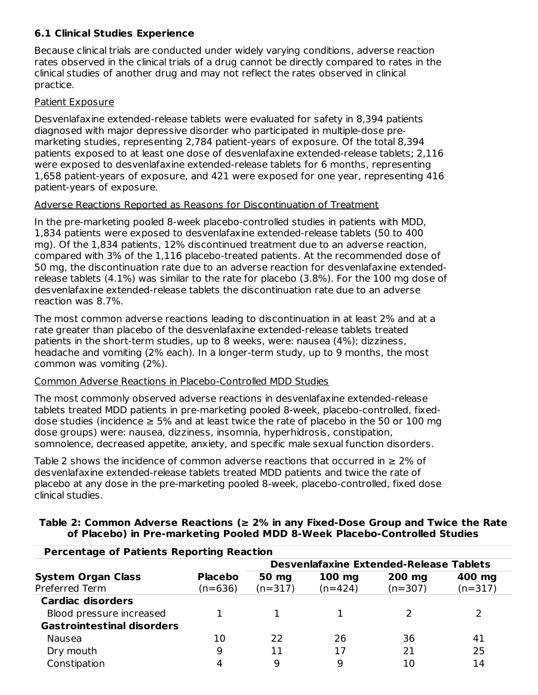### **6.1 Clinical Studies Experience**

Because clinical trials are conducted under widely varying conditions, adverse reaction rates observed in the clinical trials of a drug cannot be directly compared to rates in the clinical studies of another drug and may not reflect the rates observed in clinical practice.

#### Patient Exposure

Desvenlafaxine extended-release tablets were evaluated for safety in 8,394 patients diagnosed with major depressive disorder who participated in multiple-dose premarketing studies, representing 2,784 patient-years of exposure. Of the total 8,394 patients exposed to at least one dose of desvenlafaxine extended-release tablets; 2,116 were exposed to desvenlafaxine extended-release tablets for 6 months, representing 1,658 patient-years of exposure, and 421 were exposed for one year, representing 416 patient-years of exposure.

### Adverse Reactions Reported as Reasons for Discontinuation of Treatment

In the pre-marketing pooled 8-week placebo-controlled studies in patients with MDD, 1,834 patients were exposed to desvenlafaxine extended-release tablets (50 to 400 mg). Of the 1,834 patients, 12% discontinued treatment due to an adverse reaction, compared with 3% of the 1,116 placebo-treated patients. At the recommended dose of 50 mg, the discontinuation rate due to an adverse reaction for desvenlafaxine extendedrelease tablets (4.1%) was similar to the rate for placebo (3.8%). For the 100 mg dose of desvenlafaxine extended-release tablets the discontinuation rate due to an adverse reaction was 8.7%.

The most common adverse reactions leading to discontinuation in at least 2% and at a rate greater than placebo of the desvenlafaxine extended-release tablets treated patients in the short-term studies, up to 8 weeks, were: nausea (4%); dizziness, headache and vomiting (2% each). In a longer-term study, up to 9 months, the most common was vomiting (2%).

### Common Adverse Reactions in Placebo-Controlled MDD Studies

The most commonly observed adverse reactions in desvenlafaxine extended-release tablets treated MDD patients in pre-marketing pooled 8-week, placebo-controlled, fixeddose studies (incidence  $\geq 5\%$  and at least twice the rate of placebo in the 50 or 100 mg dose groups) were: nausea, dizziness, insomnia, hyperhidrosis, constipation, somnolence, decreased appetite, anxiety, and specific male sexual function disorders.

Table 2 shows the incidence of common adverse reactions that occurred in  $\geq 2\%$  of desvenlafaxine extended-release tablets treated MDD patients and twice the rate of placebo at any dose in the pre-marketing pooled 8-week, placebo-controlled, fixed dose clinical studies.

| <b>Percentage of Patients Reporting Reaction</b> |                             |                    |                       |                                                |                     |  |
|--------------------------------------------------|-----------------------------|--------------------|-----------------------|------------------------------------------------|---------------------|--|
|                                                  |                             |                    |                       | <b>Desvenlafaxine Extended-Release Tablets</b> |                     |  |
| <b>System Organ Class</b><br>Preferred Term      | <b>Placebo</b><br>$(n=636)$ | 50 mg<br>$(n=317)$ | $100$ mg<br>$(n=424)$ | 200 mg<br>$(n=307)$                            | 400 mg<br>$(n=317)$ |  |
| <b>Cardiac disorders</b>                         |                             |                    |                       |                                                |                     |  |
| Blood pressure increased                         |                             |                    |                       |                                                |                     |  |
| <b>Gastrointestinal disorders</b>                |                             |                    |                       |                                                |                     |  |
| Nausea                                           | 10                          | 22                 | 26                    | 36                                             | 41                  |  |
| Dry mouth                                        | 9                           | 11                 | 17                    | 21                                             | 25                  |  |
| Constipation                                     | 4                           | 9                  | 9                     | 10                                             | 14                  |  |

#### **Table 2: Common Adverse Reactions (≥ 2% in any Fixed-Dose Group and Twice the Rate of Placebo) in Pre-marketing Pooled MDD 8-Week Placebo-Controlled Studies**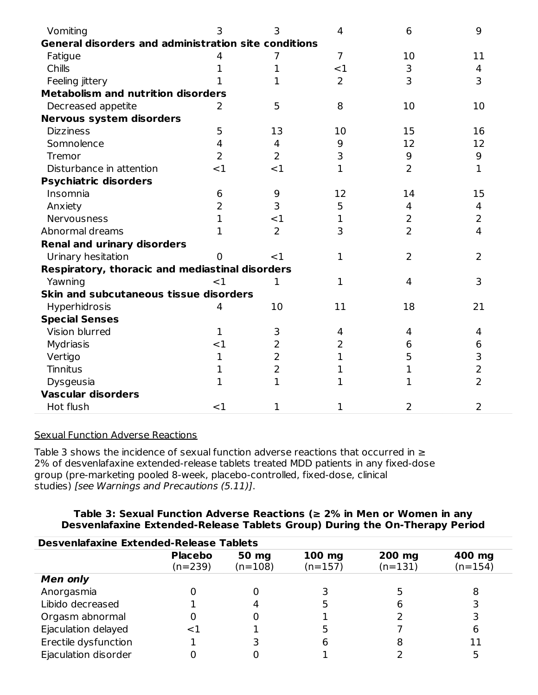| Vomiting                                                    | 3                                         | 3              | 4              | 6              | 9              |  |  |  |  |
|-------------------------------------------------------------|-------------------------------------------|----------------|----------------|----------------|----------------|--|--|--|--|
| <b>General disorders and administration site conditions</b> |                                           |                |                |                |                |  |  |  |  |
| Fatigue                                                     | 4                                         | 7              | $\overline{7}$ | 10             | 11             |  |  |  |  |
| Chills                                                      | 1                                         | 1              | <1             | 3              | 4              |  |  |  |  |
| Feeling jittery                                             | 1                                         | 1              | 2              | 3              | 3              |  |  |  |  |
|                                                             | <b>Metabolism and nutrition disorders</b> |                |                |                |                |  |  |  |  |
| Decreased appetite                                          | $\overline{2}$                            | 5              | 8              | 10             | 10             |  |  |  |  |
| <b>Nervous system disorders</b>                             |                                           |                |                |                |                |  |  |  |  |
| <b>Dizziness</b>                                            | 5                                         | 13             | 10             | 15             | 16             |  |  |  |  |
| Somnolence                                                  | 4                                         | 4              | 9              | 12             | 12             |  |  |  |  |
| Tremor                                                      | $\overline{2}$                            | $\overline{2}$ | 3              | 9              | 9              |  |  |  |  |
| Disturbance in attention                                    | <1                                        | $<$ 1          | 1              | $\overline{2}$ | $\mathbf{1}$   |  |  |  |  |
| <b>Psychiatric disorders</b>                                |                                           |                |                |                |                |  |  |  |  |
| Insomnia                                                    | 6                                         | 9              | 12             | 14             | 15             |  |  |  |  |
| Anxiety                                                     | $\overline{2}$                            | 3              | 5              | 4              | 4              |  |  |  |  |
| Nervousness                                                 | $\mathbf{1}$                              | <1             | 1              | $\overline{2}$ | $\overline{2}$ |  |  |  |  |
| Abnormal dreams                                             | 1                                         | $\overline{2}$ | 3              | $\overline{2}$ | 4              |  |  |  |  |
| <b>Renal and urinary disorders</b>                          |                                           |                |                |                |                |  |  |  |  |
| Urinary hesitation                                          | 0                                         | $<$ 1          | $\mathbf{1}$   | 2              | $\overline{2}$ |  |  |  |  |
| Respiratory, thoracic and mediastinal disorders             |                                           |                |                |                |                |  |  |  |  |
| Yawning                                                     | $<$ 1                                     | 1              | $\mathbf{1}$   | 4              | 3              |  |  |  |  |
| Skin and subcutaneous tissue disorders                      |                                           |                |                |                |                |  |  |  |  |
| Hyperhidrosis                                               | 4                                         | 10             | 11             | 18             | 21             |  |  |  |  |
| <b>Special Senses</b>                                       |                                           |                |                |                |                |  |  |  |  |
| Vision blurred                                              | 1                                         | 3              | 4              | 4              | 4              |  |  |  |  |
| <b>Mydriasis</b>                                            | <1                                        | 2              | 2              | 6              | 6              |  |  |  |  |
| Vertigo                                                     | 1                                         | 2              | 1              | 5              | 3              |  |  |  |  |
| <b>Tinnitus</b>                                             | $\mathbf 1$                               | $\overline{2}$ | 1              | 1              | 2              |  |  |  |  |
| Dysgeusia                                                   | 1                                         | $\mathbf{1}$   | 1              | 1              | $\overline{2}$ |  |  |  |  |
| <b>Vascular disorders</b>                                   |                                           |                |                |                |                |  |  |  |  |
| Hot flush                                                   | $<$ 1                                     | 1              | $\mathbf{1}$   | 2              | $\overline{2}$ |  |  |  |  |
|                                                             |                                           |                |                |                |                |  |  |  |  |

### Sexual Function Adverse Reactions

Table 3 shows the incidence of sexual function adverse reactions that occurred in  $\geq$ 2% of desvenlafaxine extended-release tablets treated MDD patients in any fixed-dose group (pre-marketing pooled 8-week, placebo-controlled, fixed-dose, clinical studies) [see Warnings and Precautions (5.11)].

### **Table 3: Sexual Function Adverse Reactions (≥ 2% in Men or Women in any Desvenlafaxine Extended-Release Tablets Group) During the On-Therapy Period**

| <b>Desvenlafaxine Extended-Release Tablets</b> |                |           |           |           |           |  |  |  |
|------------------------------------------------|----------------|-----------|-----------|-----------|-----------|--|--|--|
|                                                | <b>Placebo</b> | 50 mg     | $100$ mg  | 200 mg    | 400 mg    |  |  |  |
|                                                | $(n=239)$      | $(n=108)$ | $(n=157)$ | $(n=131)$ | $(n=154)$ |  |  |  |
| <b>Men only</b>                                |                |           |           |           |           |  |  |  |
| Anorgasmia                                     |                |           |           |           |           |  |  |  |
| Libido decreased                               |                |           |           |           |           |  |  |  |
| Orgasm abnormal                                |                |           |           |           |           |  |  |  |
| Ejaculation delayed                            | <1             |           |           |           | 6         |  |  |  |
| Erectile dysfunction                           |                |           | b         |           | 11        |  |  |  |
| Ejaculation disorder                           |                |           |           |           |           |  |  |  |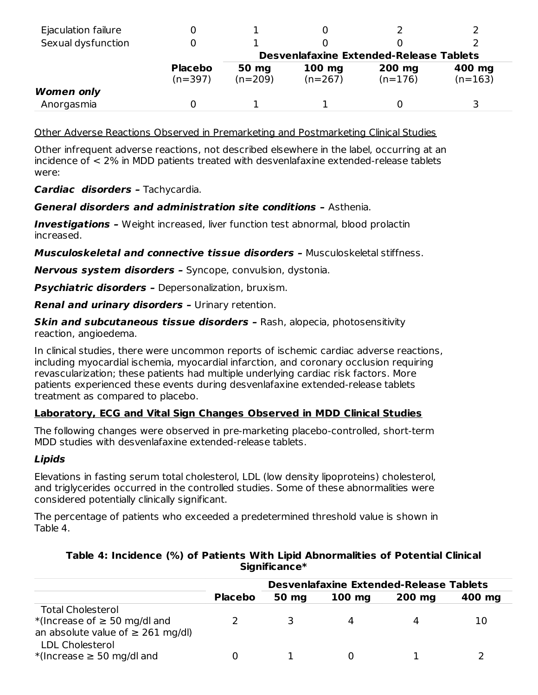| Ejaculation failure |                             |                    |                       |                                                |                     |
|---------------------|-----------------------------|--------------------|-----------------------|------------------------------------------------|---------------------|
| Sexual dysfunction  |                             |                    |                       |                                                |                     |
|                     |                             |                    |                       | <b>Desvenlafaxine Extended-Release Tablets</b> |                     |
|                     | <b>Placebo</b><br>$(n=397)$ | 50 mg<br>$(n=209)$ | $100$ mg<br>$(n=267)$ | 200 mg<br>$(n=176)$                            | 400 mg<br>$(n=163)$ |
| <b>Women only</b>   |                             |                    |                       |                                                |                     |
| Anorgasmia          |                             |                    |                       |                                                |                     |
|                     |                             |                    |                       |                                                |                     |

Other Adverse Reactions Observed in Premarketing and Postmarketing Clinical Studies

Other infrequent adverse reactions, not described elsewhere in the label, occurring at an incidence of < 2% in MDD patients treated with desvenlafaxine extended-release tablets were:

**Cardiac disorders –** Tachycardia.

**General disorders and administration site conditions –** Asthenia.

**Investigations –** Weight increased, liver function test abnormal, blood prolactin increased.

**Musculoskeletal and connective tissue disorders –** Musculoskeletal stiffness.

**Nervous system disorders –** Syncope, convulsion, dystonia.

**Psychiatric disorders –** Depersonalization, bruxism.

**Renal and urinary disorders –** Urinary retention.

**Skin and subcutaneous tissue disorders –** Rash, alopecia, photosensitivity reaction, angioedema.

In clinical studies, there were uncommon reports of ischemic cardiac adverse reactions, including myocardial ischemia, myocardial infarction, and coronary occlusion requiring revascularization; these patients had multiple underlying cardiac risk factors. More patients experienced these events during desvenlafaxine extended-release tablets treatment as compared to placebo.

### **Laboratory, ECG and Vital Sign Changes Observed in MDD Clinical Studies**

The following changes were observed in pre-marketing placebo-controlled, short-term MDD studies with desvenlafaxine extended-release tablets.

#### **Lipids**

Elevations in fasting serum total cholesterol, LDL (low density lipoproteins) cholesterol, and triglycerides occurred in the controlled studies. Some of these abnormalities were considered potentially clinically significant.

The percentage of patients who exceeded a predetermined threshold value is shown in Table 4.

#### **Table 4: Incidence (%) of Patients With Lipid Abnormalities of Potential Clinical Significance\***

|                                        |                | <b>Desvenlafaxine Extended-Release Tablets</b> |          |        |        |  |
|----------------------------------------|----------------|------------------------------------------------|----------|--------|--------|--|
|                                        | <b>Placebo</b> | 50 mg                                          | $100$ mg | 200 mg | 400 mg |  |
| Total Cholesterol                      |                |                                                |          |        |        |  |
| *(Increase of $\geq$ 50 mg/dl and      |                |                                                |          |        | 10     |  |
| an absolute value of $\geq 261$ mg/dl) |                |                                                |          |        |        |  |
| <b>LDL Cholesterol</b>                 |                |                                                |          |        |        |  |
| *(Increase $\geq$ 50 mg/dl and         |                |                                                |          |        |        |  |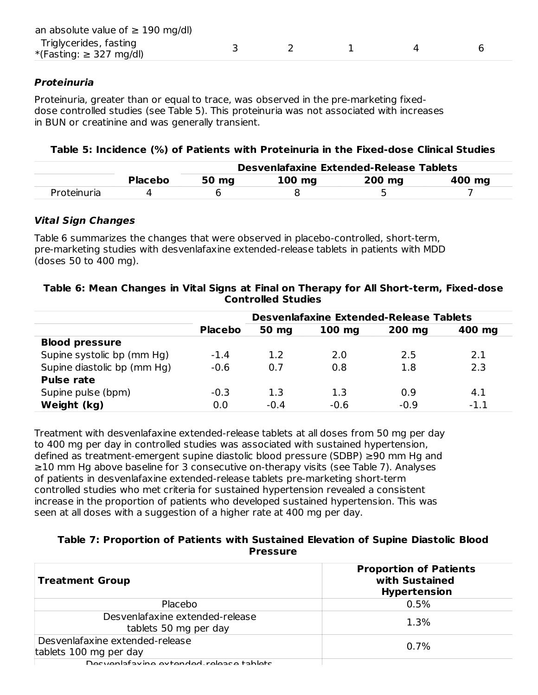| an absolute value of $\geq$ 190 mg/dl)                 |  |  |  |
|--------------------------------------------------------|--|--|--|
| Triglycerides, fasting<br>$*(Fasting: \geq 327 mg/dl)$ |  |  |  |

### **Proteinuria**

Proteinuria, greater than or equal to trace, was observed in the pre-marketing fixeddose controlled studies (see Table 5). This proteinuria was not associated with increases in BUN or creatinine and was generally transient.

#### **Table 5: Incidence (%) of Patients with Proteinuria in the Fixed-dose Clinical Studies**

|             |                | Desvenlafaxine Extended-Release Tablets |          |        |        |  |
|-------------|----------------|-----------------------------------------|----------|--------|--------|--|
|             | <b>Placebo</b> | 50 mg                                   | $100$ mg | 200 mg | 400 mg |  |
| Proteinuria |                |                                         |          |        |        |  |

#### **Vital Sign Changes**

Table 6 summarizes the changes that were observed in placebo-controlled, short-term, pre-marketing studies with desvenlafaxine extended-release tablets in patients with MDD (doses 50 to 400 mg).

#### **Table 6: Mean Changes in Vital Signs at Final on Therapy for All Short-term, Fixed-dose Controlled Studies**

|                             |                |        |          | <b>Desvenlafaxine Extended-Release Tablets</b> |        |
|-----------------------------|----------------|--------|----------|------------------------------------------------|--------|
|                             | <b>Placebo</b> | 50 mg  | $100$ mg | 200 mg                                         | 400 mg |
| <b>Blood pressure</b>       |                |        |          |                                                |        |
| Supine systolic bp (mm Hg)  | $-1.4$         | 1.2    | 2.0      | 2.5                                            | 2.1    |
| Supine diastolic bp (mm Hg) | $-0.6$         | 0.7    | 0.8      | 1.8                                            | 2.3    |
| <b>Pulse rate</b>           |                |        |          |                                                |        |
| Supine pulse (bpm)          | $-0.3$         | 1.3    | 1.3      | 0.9                                            | 4.1    |
| Weight (kg)                 | 0.0            | $-0.4$ | $-0.6$   | $-0.9$                                         | $-1.1$ |

Treatment with desvenlafaxine extended-release tablets at all doses from 50 mg per day to 400 mg per day in controlled studies was associated with sustained hypertension, defined as treatment-emergent supine diastolic blood pressure (SDBP) ≥90 mm Hg and ≥10 mm Hg above baseline for 3 consecutive on-therapy visits (see Table 7). Analyses of patients in desvenlafaxine extended-release tablets pre-marketing short-term controlled studies who met criteria for sustained hypertension revealed a consistent increase in the proportion of patients who developed sustained hypertension. This was seen at all doses with a suggestion of a higher rate at 400 mg per day.

#### **Table 7: Proportion of Patients with Sustained Elevation of Supine Diastolic Blood Pressure**

| <b>Treatment Group</b>                                    | <b>Proportion of Patients</b><br>with Sustained<br><b>Hypertension</b> |
|-----------------------------------------------------------|------------------------------------------------------------------------|
| Placebo                                                   | $0.5\%$                                                                |
| Desvenlafaxine extended-release<br>tablets 50 mg per day  | 1.3%                                                                   |
| Desvenlafaxine extended-release<br>tablets 100 mg per day | 0.7%                                                                   |
| Documplatoving ovtandad ralosca tableta                   |                                                                        |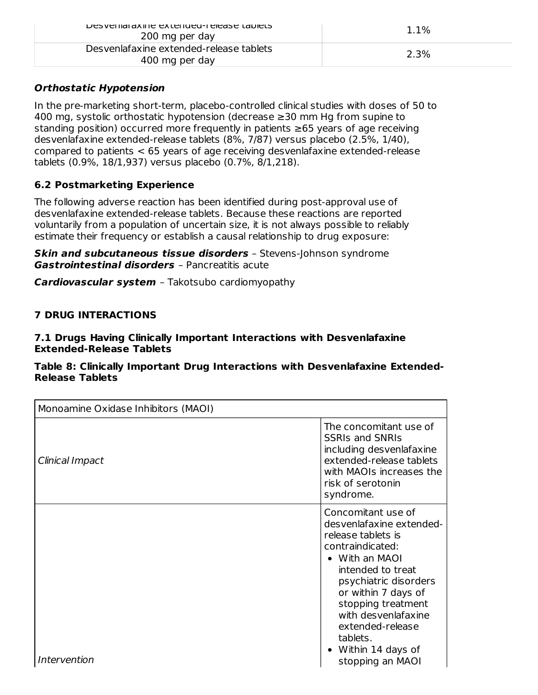| DESVEITIQUATUE EXTENDENTI EIEQSE LADIELS<br>200 mg per day | 1.1%    |
|------------------------------------------------------------|---------|
| Desvenlafaxine extended-release tablets<br>400 mg per day  | $2.3\%$ |

### **Orthostatic Hypotension**

In the pre-marketing short-term, placebo-controlled clinical studies with doses of 50 to 400 mg, systolic orthostatic hypotension (decrease ≥30 mm Hg from supine to standing position) occurred more frequently in patients ≥65 years of age receiving desvenlafaxine extended-release tablets (8%, 7/87) versus placebo (2.5%, 1/40), compared to patients < 65 years of age receiving desvenlafaxine extended-release tablets (0.9%, 18/1,937) versus placebo (0.7%, 8/1,218).

### **6.2 Postmarketing Experience**

The following adverse reaction has been identified during post-approval use of desvenlafaxine extended-release tablets. Because these reactions are reported voluntarily from a population of uncertain size, it is not always possible to reliably estimate their frequency or establish a causal relationship to drug exposure:

**Skin and subcutaneous tissue disorders** – Stevens-Johnson syndrome **Gastrointestinal disorders** – Pancreatitis acute

**Cardiovascular system** – Takotsubo cardiomyopathy

### **7 DRUG INTERACTIONS**

#### **7.1 Drugs Having Clinically Important Interactions with Desvenlafaxine Extended-Release Tablets**

#### **Table 8: Clinically Important Drug Interactions with Desvenlafaxine Extended-Release Tablets**

| Monoamine Oxidase Inhibitors (MAOI) |                                                                                                                                                                                                                                                                                                       |
|-------------------------------------|-------------------------------------------------------------------------------------------------------------------------------------------------------------------------------------------------------------------------------------------------------------------------------------------------------|
| Clinical Impact                     | The concomitant use of<br><b>SSRIs and SNRIS</b><br>including desvenlafaxine<br>extended-release tablets<br>with MAOIs increases the<br>risk of serotonin<br>syndrome.                                                                                                                                |
| Intervention                        | Concomitant use of<br>desvenlafaxine extended-<br>release tablets is<br>contraindicated:<br>• With an MAOI<br>intended to treat<br>psychiatric disorders<br>or within 7 days of<br>stopping treatment<br>with desvenlafaxine<br>extended-release<br>tablets.<br>Within 14 days of<br>stopping an MAOI |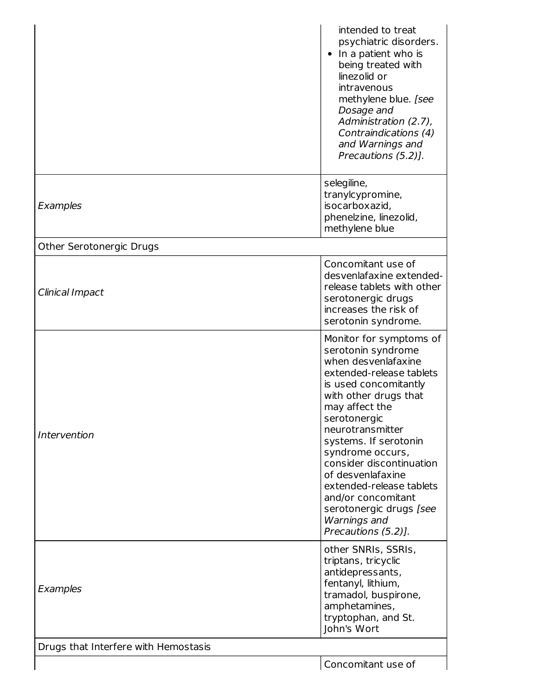|                                      | intended to treat<br>psychiatric disorders.<br>In a patient who is<br>$\bullet$<br>being treated with<br>linezolid or<br>intravenous<br>methylene blue. [see<br>Dosage and<br>Administration (2.7),<br>Contraindications (4)<br>and Warnings and<br>Precautions (5.2)].                                                                                                                                                           |
|--------------------------------------|-----------------------------------------------------------------------------------------------------------------------------------------------------------------------------------------------------------------------------------------------------------------------------------------------------------------------------------------------------------------------------------------------------------------------------------|
| Examples                             | selegiline,<br>tranylcypromine,<br>isocarboxazid,<br>phenelzine, linezolid,<br>methylene blue                                                                                                                                                                                                                                                                                                                                     |
| Other Serotonergic Drugs             |                                                                                                                                                                                                                                                                                                                                                                                                                                   |
| Clinical Impact                      | Concomitant use of<br>desvenlafaxine extended-<br>release tablets with other<br>serotonergic drugs<br>increases the risk of<br>serotonin syndrome.                                                                                                                                                                                                                                                                                |
| Intervention                         | Monitor for symptoms of<br>serotonin syndrome<br>when desvenlafaxine<br>extended-release tablets<br>is used concomitantly<br>with other drugs that<br>may affect the<br>serotonergic<br>neurotransmitter<br>systems. If serotonin<br>syndrome occurs,<br>consider discontinuation<br>of desvenlafaxine<br>extended-release tablets<br>and/or concomitant<br>serotonergic drugs [see<br><b>Warnings</b> and<br>Precautions (5.2)]. |
| Examples                             | other SNRIs, SSRIs,<br>triptans, tricyclic<br>antidepressants,<br>fentanyl, lithium,<br>tramadol, buspirone,<br>amphetamines,<br>tryptophan, and St.<br>John's Wort                                                                                                                                                                                                                                                               |
| Drugs that Interfere with Hemostasis |                                                                                                                                                                                                                                                                                                                                                                                                                                   |
|                                      | Concomitant use of                                                                                                                                                                                                                                                                                                                                                                                                                |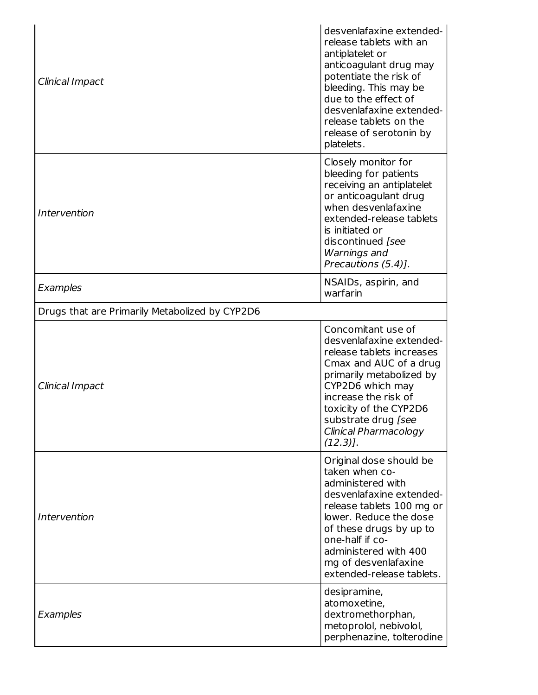| Clinical Impact                                | desvenlafaxine extended-<br>release tablets with an<br>antiplatelet or<br>anticoagulant drug may<br>potentiate the risk of<br>bleeding. This may be<br>due to the effect of<br>desvenlafaxine extended-<br>release tablets on the<br>release of serotonin by<br>platelets.    |
|------------------------------------------------|-------------------------------------------------------------------------------------------------------------------------------------------------------------------------------------------------------------------------------------------------------------------------------|
| Intervention                                   | Closely monitor for<br>bleeding for patients<br>receiving an antiplatelet<br>or anticoagulant drug<br>when desvenlafaxine<br>extended-release tablets<br>is initiated or<br>discontinued [see<br>Warnings and<br>Precautions (5.4)].                                          |
| Examples                                       | NSAIDs, aspirin, and<br>warfarin                                                                                                                                                                                                                                              |
| Drugs that are Primarily Metabolized by CYP2D6 |                                                                                                                                                                                                                                                                               |
| Clinical Impact                                | Concomitant use of<br>desvenlafaxine extended-<br>release tablets increases<br>Cmax and AUC of a drug<br>primarily metabolized by<br>CYP2D6 which may<br>increase the risk of<br>toxicity of the CYP2D6<br>substrate drug [see<br>Clinical Pharmacology<br>$(12.3)$ ].        |
| Intervention                                   | Original dose should be<br>taken when co-<br>administered with<br>desvenlafaxine extended-<br>release tablets 100 mg or<br>lower. Reduce the dose<br>of these drugs by up to<br>one-half if co-<br>administered with 400<br>mg of desvenlafaxine<br>extended-release tablets. |
| Examples                                       | desipramine,<br>atomoxetine,<br>dextromethorphan,<br>metoprolol, nebivolol,<br>perphenazine, tolterodine                                                                                                                                                                      |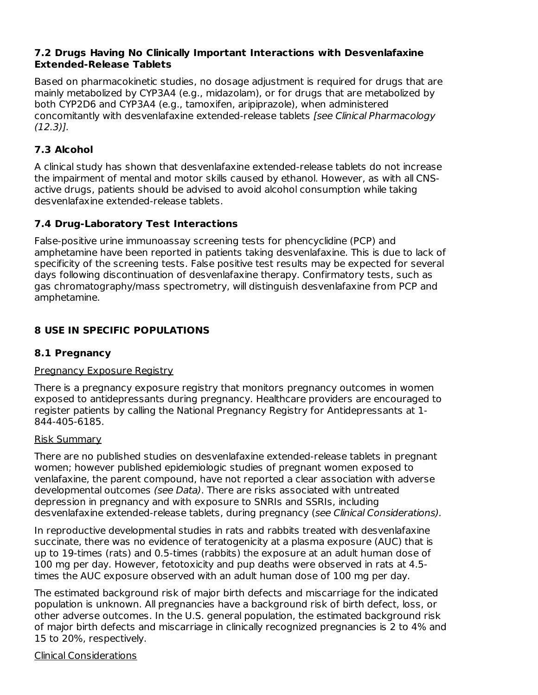#### **7.2 Drugs Having No Clinically Important Interactions with Desvenlafaxine Extended-Release Tablets**

Based on pharmacokinetic studies, no dosage adjustment is required for drugs that are mainly metabolized by CYP3A4 (e.g., midazolam), or for drugs that are metabolized by both CYP2D6 and CYP3A4 (e.g., tamoxifen, aripiprazole), when administered concomitantly with desvenlafaxine extended-release tablets [see Clinical Pharmacology (12.3)].

### **7.3 Alcohol**

A clinical study has shown that desvenlafaxine extended-release tablets do not increase the impairment of mental and motor skills caused by ethanol. However, as with all CNSactive drugs, patients should be advised to avoid alcohol consumption while taking desvenlafaxine extended-release tablets.

### **7.4 Drug-Laboratory Test Interactions**

False-positive urine immunoassay screening tests for phencyclidine (PCP) and amphetamine have been reported in patients taking desvenlafaxine. This is due to lack of specificity of the screening tests. False positive test results may be expected for several days following discontinuation of desvenlafaxine therapy. Confirmatory tests, such as gas chromatography/mass spectrometry, will distinguish desvenlafaxine from PCP and amphetamine.

# **8 USE IN SPECIFIC POPULATIONS**

### **8.1 Pregnancy**

### Pregnancy Exposure Registry

There is a pregnancy exposure registry that monitors pregnancy outcomes in women exposed to antidepressants during pregnancy. Healthcare providers are encouraged to register patients by calling the National Pregnancy Registry for Antidepressants at 1- 844-405-6185.

### Risk Summary

There are no published studies on desvenlafaxine extended-release tablets in pregnant women; however published epidemiologic studies of pregnant women exposed to venlafaxine, the parent compound, have not reported a clear association with adverse developmental outcomes (see Data). There are risks associated with untreated depression in pregnancy and with exposure to SNRIs and SSRIs, including desvenlafaxine extended-release tablets, during pregnancy (see Clinical Considerations).

In reproductive developmental studies in rats and rabbits treated with desvenlafaxine succinate, there was no evidence of teratogenicity at a plasma exposure (AUC) that is up to 19-times (rats) and 0.5-times (rabbits) the exposure at an adult human dose of 100 mg per day. However, fetotoxicity and pup deaths were observed in rats at 4.5 times the AUC exposure observed with an adult human dose of 100 mg per day.

The estimated background risk of major birth defects and miscarriage for the indicated population is unknown. All pregnancies have a background risk of birth defect, loss, or other adverse outcomes. In the U.S. general population, the estimated background risk of major birth defects and miscarriage in clinically recognized pregnancies is 2 to 4% and 15 to 20%, respectively.

### Clinical Considerations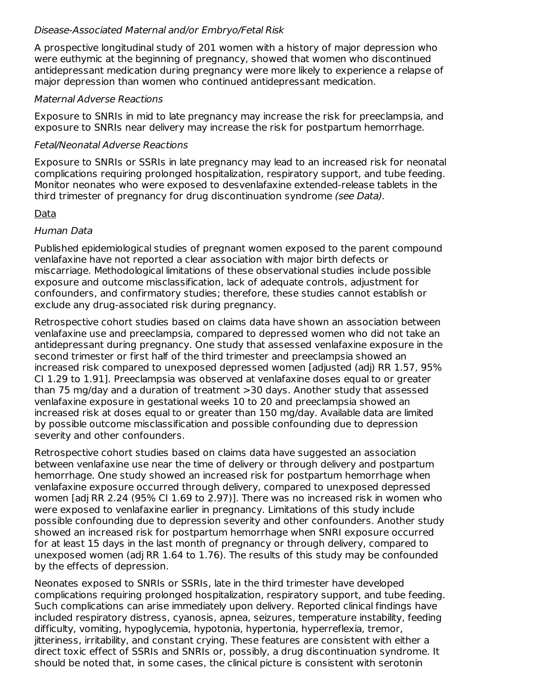#### Disease-Associated Maternal and/or Embryo/Fetal Risk

A prospective longitudinal study of 201 women with a history of major depression who were euthymic at the beginning of pregnancy, showed that women who discontinued antidepressant medication during pregnancy were more likely to experience a relapse of major depression than women who continued antidepressant medication.

#### Maternal Adverse Reactions

Exposure to SNRIs in mid to late pregnancy may increase the risk for preeclampsia, and exposure to SNRIs near delivery may increase the risk for postpartum hemorrhage.

#### Fetal/Neonatal Adverse Reactions

Exposure to SNRIs or SSRIs in late pregnancy may lead to an increased risk for neonatal complications requiring prolonged hospitalization, respiratory support, and tube feeding. Monitor neonates who were exposed to desvenlafaxine extended-release tablets in the third trimester of pregnancy for drug discontinuation syndrome (see Data).

#### Data

#### Human Data

Published epidemiological studies of pregnant women exposed to the parent compound venlafaxine have not reported a clear association with major birth defects or miscarriage. Methodological limitations of these observational studies include possible exposure and outcome misclassification, lack of adequate controls, adjustment for confounders, and confirmatory studies; therefore, these studies cannot establish or exclude any drug-associated risk during pregnancy.

Retrospective cohort studies based on claims data have shown an association between venlafaxine use and preeclampsia, compared to depressed women who did not take an antidepressant during pregnancy. One study that assessed venlafaxine exposure in the second trimester or first half of the third trimester and preeclampsia showed an increased risk compared to unexposed depressed women [adjusted (adj) RR 1.57, 95% CI 1.29 to 1.91]. Preeclampsia was observed at venlafaxine doses equal to or greater than 75 mg/day and a duration of treatment >30 days. Another study that assessed venlafaxine exposure in gestational weeks 10 to 20 and preeclampsia showed an increased risk at doses equal to or greater than 150 mg/day. Available data are limited by possible outcome misclassification and possible confounding due to depression severity and other confounders.

Retrospective cohort studies based on claims data have suggested an association between venlafaxine use near the time of delivery or through delivery and postpartum hemorrhage. One study showed an increased risk for postpartum hemorrhage when venlafaxine exposure occurred through delivery, compared to unexposed depressed women [adj RR 2.24 (95% CI 1.69 to 2.97)]. There was no increased risk in women who were exposed to venlafaxine earlier in pregnancy. Limitations of this study include possible confounding due to depression severity and other confounders. Another study showed an increased risk for postpartum hemorrhage when SNRI exposure occurred for at least 15 days in the last month of pregnancy or through delivery, compared to unexposed women (adj RR 1.64 to 1.76). The results of this study may be confounded by the effects of depression.

Neonates exposed to SNRIs or SSRIs, late in the third trimester have developed complications requiring prolonged hospitalization, respiratory support, and tube feeding. Such complications can arise immediately upon delivery. Reported clinical findings have included respiratory distress, cyanosis, apnea, seizures, temperature instability, feeding difficulty, vomiting, hypoglycemia, hypotonia, hypertonia, hyperreflexia, tremor, jitteriness, irritability, and constant crying. These features are consistent with either a direct toxic effect of SSRIs and SNRIs or, possibly, a drug discontinuation syndrome. It should be noted that, in some cases, the clinical picture is consistent with serotonin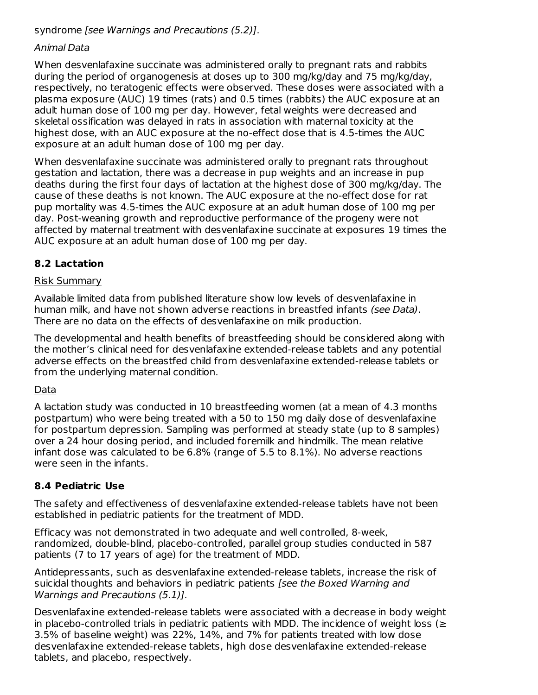syndrome [see Warnings and Precautions (5.2)].

### Animal Data

When desvenlafaxine succinate was administered orally to pregnant rats and rabbits during the period of organogenesis at doses up to 300 mg/kg/day and 75 mg/kg/day, respectively, no teratogenic effects were observed. These doses were associated with a plasma exposure (AUC) 19 times (rats) and 0.5 times (rabbits) the AUC exposure at an adult human dose of 100 mg per day. However, fetal weights were decreased and skeletal ossification was delayed in rats in association with maternal toxicity at the highest dose, with an AUC exposure at the no-effect dose that is 4.5-times the AUC exposure at an adult human dose of 100 mg per day.

When desvenlafaxine succinate was administered orally to pregnant rats throughout gestation and lactation, there was a decrease in pup weights and an increase in pup deaths during the first four days of lactation at the highest dose of 300 mg/kg/day. The cause of these deaths is not known. The AUC exposure at the no-effect dose for rat pup mortality was 4.5-times the AUC exposure at an adult human dose of 100 mg per day. Post-weaning growth and reproductive performance of the progeny were not affected by maternal treatment with desvenlafaxine succinate at exposures 19 times the AUC exposure at an adult human dose of 100 mg per day.

# **8.2 Lactation**

#### Risk Summary

Available limited data from published literature show low levels of desvenlafaxine in human milk, and have not shown adverse reactions in breastfed infants (see Data). There are no data on the effects of desvenlafaxine on milk production.

The developmental and health benefits of breastfeeding should be considered along with the mother's clinical need for desvenlafaxine extended-release tablets and any potential adverse effects on the breastfed child from desvenlafaxine extended-release tablets or from the underlying maternal condition.

### Data

A lactation study was conducted in 10 breastfeeding women (at a mean of 4.3 months postpartum) who were being treated with a 50 to 150 mg daily dose of desvenlafaxine for postpartum depression. Sampling was performed at steady state (up to 8 samples) over a 24 hour dosing period, and included foremilk and hindmilk. The mean relative infant dose was calculated to be 6.8% (range of 5.5 to 8.1%). No adverse reactions were seen in the infants.

### **8.4 Pediatric Use**

The safety and effectiveness of desvenlafaxine extended-release tablets have not been established in pediatric patients for the treatment of MDD.

Efficacy was not demonstrated in two adequate and well controlled, 8-week, randomized, double-blind, placebo-controlled, parallel group studies conducted in 587 patients (7 to 17 years of age) for the treatment of MDD.

Antidepressants, such as desvenlafaxine extended-release tablets, increase the risk of suicidal thoughts and behaviors in pediatric patients [see the Boxed Warning and Warnings and Precautions (5.1)].

Desvenlafaxine extended-release tablets were associated with a decrease in body weight in placebo-controlled trials in pediatric patients with MDD. The incidence of weight loss ( $\geq$ 3.5% of baseline weight) was 22%, 14%, and 7% for patients treated with low dose desvenlafaxine extended-release tablets, high dose desvenlafaxine extended-release tablets, and placebo, respectively.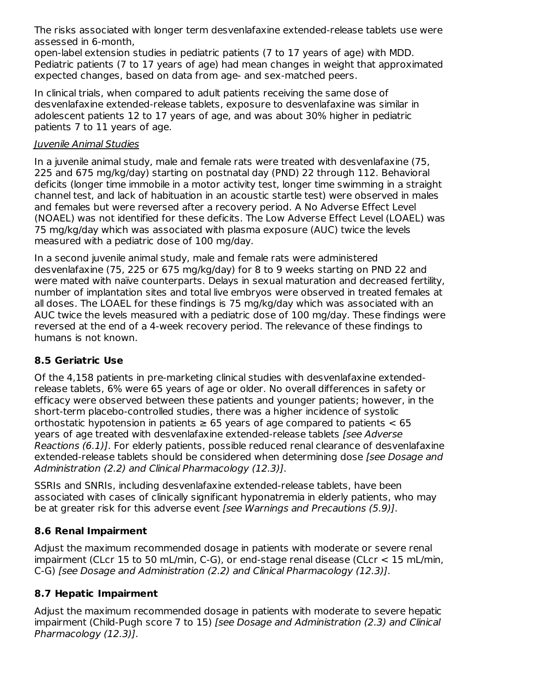The risks associated with longer term desvenlafaxine extended-release tablets use were assessed in 6-month,

open-label extension studies in pediatric patients (7 to 17 years of age) with MDD. Pediatric patients (7 to 17 years of age) had mean changes in weight that approximated expected changes, based on data from age- and sex-matched peers.

In clinical trials, when compared to adult patients receiving the same dose of desvenlafaxine extended-release tablets, exposure to desvenlafaxine was similar in adolescent patients 12 to 17 years of age, and was about 30% higher in pediatric patients 7 to 11 years of age.

### Juvenile Animal Studies

In a juvenile animal study, male and female rats were treated with desvenlafaxine (75, 225 and 675 mg/kg/day) starting on postnatal day (PND) 22 through 112. Behavioral deficits (longer time immobile in a motor activity test, longer time swimming in a straight channel test, and lack of habituation in an acoustic startle test) were observed in males and females but were reversed after a recovery period. A No Adverse Effect Level (NOAEL) was not identified for these deficits. The Low Adverse Effect Level (LOAEL) was 75 mg/kg/day which was associated with plasma exposure (AUC) twice the levels measured with a pediatric dose of 100 mg/day.

In a second juvenile animal study, male and female rats were administered desvenlafaxine (75, 225 or 675 mg/kg/day) for 8 to 9 weeks starting on PND 22 and were mated with naïve counterparts. Delays in sexual maturation and decreased fertility, number of implantation sites and total live embryos were observed in treated females at all doses. The LOAEL for these findings is 75 mg/kg/day which was associated with an AUC twice the levels measured with a pediatric dose of 100 mg/day. These findings were reversed at the end of a 4-week recovery period. The relevance of these findings to humans is not known.

# **8.5 Geriatric Use**

Of the 4,158 patients in pre-marketing clinical studies with desvenlafaxine extendedrelease tablets, 6% were 65 years of age or older. No overall differences in safety or efficacy were observed between these patients and younger patients; however, in the short-term placebo-controlled studies, there was a higher incidence of systolic orthostatic hypotension in patients  $\geq 65$  years of age compared to patients  $\lt 65$ years of age treated with desvenlafaxine extended-release tablets [see Adverse] Reactions (6.1)]. For elderly patients, possible reduced renal clearance of desvenlafaxine extended-release tablets should be considered when determining dose [see Dosage and Administration (2.2) and Clinical Pharmacology (12.3)].

SSRIs and SNRIs, including desvenlafaxine extended-release tablets, have been associated with cases of clinically significant hyponatremia in elderly patients, who may be at greater risk for this adverse event [see Warnings and Precautions (5.9)].

# **8.6 Renal Impairment**

Adjust the maximum recommended dosage in patients with moderate or severe renal impairment (CLcr 15 to 50 mL/min, C-G), or end-stage renal disease (CLcr < 15 mL/min, C-G) [see Dosage and Administration (2.2) and Clinical Pharmacology (12.3)].

# **8.7 Hepatic Impairment**

Adjust the maximum recommended dosage in patients with moderate to severe hepatic impairment (Child-Pugh score 7 to 15) [see Dosage and Administration (2.3) and Clinical Pharmacology (12.3)].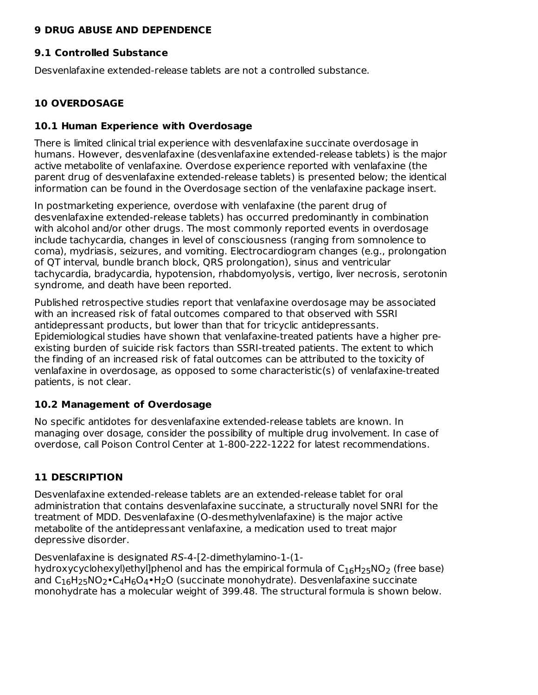### **9 DRUG ABUSE AND DEPENDENCE**

#### **9.1 Controlled Substance**

Desvenlafaxine extended-release tablets are not a controlled substance.

### **10 OVERDOSAGE**

#### **10.1 Human Experience with Overdosage**

There is limited clinical trial experience with desvenlafaxine succinate overdosage in humans. However, desvenlafaxine (desvenlafaxine extended-release tablets) is the major active metabolite of venlafaxine. Overdose experience reported with venlafaxine (the parent drug of desvenlafaxine extended-release tablets) is presented below; the identical information can be found in the Overdosage section of the venlafaxine package insert.

In postmarketing experience, overdose with venlafaxine (the parent drug of desvenlafaxine extended-release tablets) has occurred predominantly in combination with alcohol and/or other drugs. The most commonly reported events in overdosage include tachycardia, changes in level of consciousness (ranging from somnolence to coma), mydriasis, seizures, and vomiting. Electrocardiogram changes (e.g., prolongation of QT interval, bundle branch block, QRS prolongation), sinus and ventricular tachycardia, bradycardia, hypotension, rhabdomyolysis, vertigo, liver necrosis, serotonin syndrome, and death have been reported.

Published retrospective studies report that venlafaxine overdosage may be associated with an increased risk of fatal outcomes compared to that observed with SSRI antidepressant products, but lower than that for tricyclic antidepressants. Epidemiological studies have shown that venlafaxine-treated patients have a higher preexisting burden of suicide risk factors than SSRI-treated patients. The extent to which the finding of an increased risk of fatal outcomes can be attributed to the toxicity of venlafaxine in overdosage, as opposed to some characteristic(s) of venlafaxine-treated patients, is not clear.

### **10.2 Management of Overdosage**

No specific antidotes for desvenlafaxine extended-release tablets are known. In managing over dosage, consider the possibility of multiple drug involvement. In case of overdose, call Poison Control Center at 1-800-222-1222 for latest recommendations.

### **11 DESCRIPTION**

Desvenlafaxine extended-release tablets are an extended-release tablet for oral administration that contains desvenlafaxine succinate, a structurally novel SNRI for the treatment of MDD. Desvenlafaxine (O-desmethylvenlafaxine) is the major active metabolite of the antidepressant venlafaxine, a medication used to treat major depressive disorder.

Desvenlafaxine is designated RS-4-[2-dimethylamino-1-(1 hydroxycyclohexyl)ethyl]phenol and has the empirical formula of  $\mathsf{C}_{16}\mathsf{H}_{25}\mathsf{NO}_{2}$  (free base) and  $C_{16}H_{25}NO_2\bullet C_4H_6O_4\bullet H_2O$  (succinate monohydrate). Desvenlafaxine succinate monohydrate has a molecular weight of 399.48. The structural formula is shown below.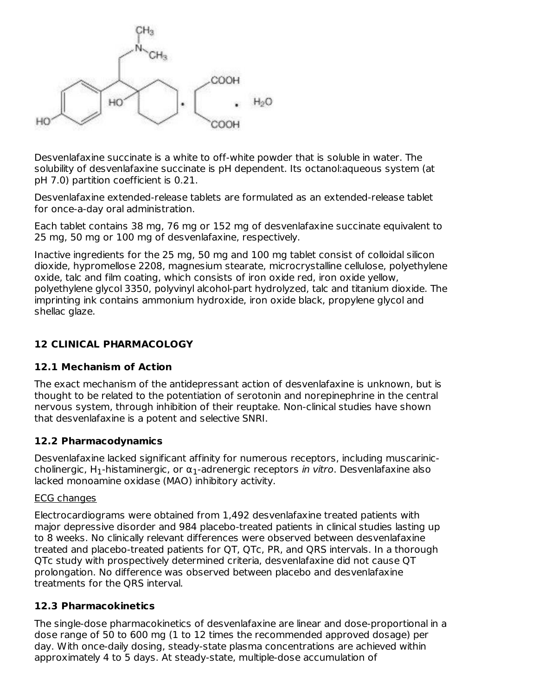

Desvenlafaxine succinate is a white to off-white powder that is soluble in water. The solubility of desvenlafaxine succinate is pH dependent. Its octanol:aqueous system (at pH 7.0) partition coefficient is 0.21.

Desvenlafaxine extended-release tablets are formulated as an extended-release tablet for once-a-day oral administration.

Each tablet contains 38 mg, 76 mg or 152 mg of desvenlafaxine succinate equivalent to 25 mg, 50 mg or 100 mg of desvenlafaxine, respectively.

Inactive ingredients for the 25 mg, 50 mg and 100 mg tablet consist of colloidal silicon dioxide, hypromellose 2208, magnesium stearate, microcrystalline cellulose, polyethylene oxide, talc and film coating, which consists of iron oxide red, iron oxide yellow, polyethylene glycol 3350, polyvinyl alcohol-part hydrolyzed, talc and titanium dioxide. The imprinting ink contains ammonium hydroxide, iron oxide black, propylene glycol and shellac glaze.

### **12 CLINICAL PHARMACOLOGY**

### **12.1 Mechanism of Action**

The exact mechanism of the antidepressant action of desvenlafaxine is unknown, but is thought to be related to the potentiation of serotonin and norepinephrine in the central nervous system, through inhibition of their reuptake. Non-clinical studies have shown that desvenlafaxine is a potent and selective SNRI.

#### **12.2 Pharmacodynamics**

Desvenlafaxine lacked significant affinity for numerous receptors, including muscariniccholinergic, H $_1$ -histaminergic, or  $\alpha_1$ -adrenergic receptors *in vitro*. Desvenlafaxine also lacked monoamine oxidase (MAO) inhibitory activity.

#### ECG changes

Electrocardiograms were obtained from 1,492 desvenlafaxine treated patients with major depressive disorder and 984 placebo-treated patients in clinical studies lasting up to 8 weeks. No clinically relevant differences were observed between desvenlafaxine treated and placebo-treated patients for QT, QTc, PR, and QRS intervals. In a thorough QTc study with prospectively determined criteria, desvenlafaxine did not cause QT prolongation. No difference was observed between placebo and desvenlafaxine treatments for the QRS interval.

#### **12.3 Pharmacokinetics**

The single-dose pharmacokinetics of desvenlafaxine are linear and dose-proportional in a dose range of 50 to 600 mg (1 to 12 times the recommended approved dosage) per day. With once-daily dosing, steady-state plasma concentrations are achieved within approximately 4 to 5 days. At steady-state, multiple-dose accumulation of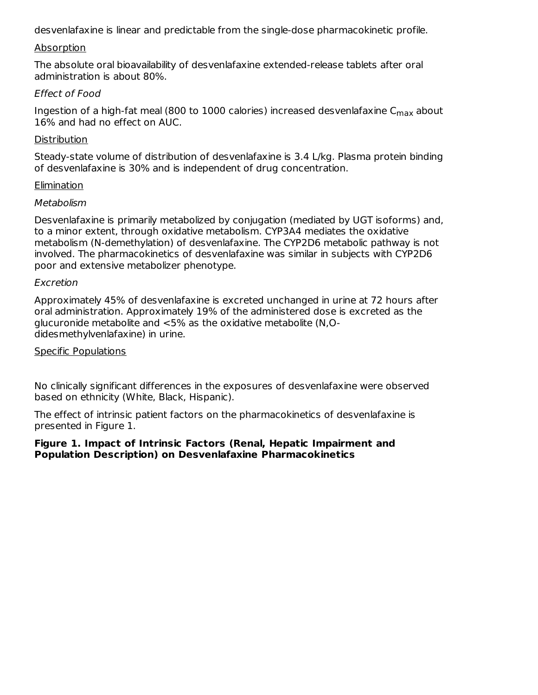desvenlafaxine is linear and predictable from the single-dose pharmacokinetic profile.

#### **Absorption**

The absolute oral bioavailability of desvenlafaxine extended-release tablets after oral administration is about 80%.

#### Effect of Food

Ingestion of a high-fat meal (800 to 1000 calories) increased desvenlafaxine  ${\sf C}_{\sf max}$  about 16% and had no effect on AUC.

#### **Distribution**

Steady-state volume of distribution of desvenlafaxine is 3.4 L/kg. Plasma protein binding of desvenlafaxine is 30% and is independent of drug concentration.

#### Elimination

#### **Metabolism**

Desvenlafaxine is primarily metabolized by conjugation (mediated by UGT isoforms) and, to a minor extent, through oxidative metabolism. CYP3A4 mediates the oxidative metabolism (N-demethylation) of desvenlafaxine. The CYP2D6 metabolic pathway is not involved. The pharmacokinetics of desvenlafaxine was similar in subjects with CYP2D6 poor and extensive metabolizer phenotype.

#### Excretion

Approximately 45% of desvenlafaxine is excreted unchanged in urine at 72 hours after oral administration. Approximately 19% of the administered dose is excreted as the glucuronide metabolite and <5% as the oxidative metabolite (N,Odidesmethylvenlafaxine) in urine.

#### Specific Populations

No clinically significant differences in the exposures of desvenlafaxine were observed based on ethnicity (White, Black, Hispanic).

The effect of intrinsic patient factors on the pharmacokinetics of desvenlafaxine is presented in Figure 1.

#### **Figure 1. Impact of Intrinsic Factors (Renal, Hepatic Impairment and Population Description) on Desvenlafaxine Pharmacokinetics**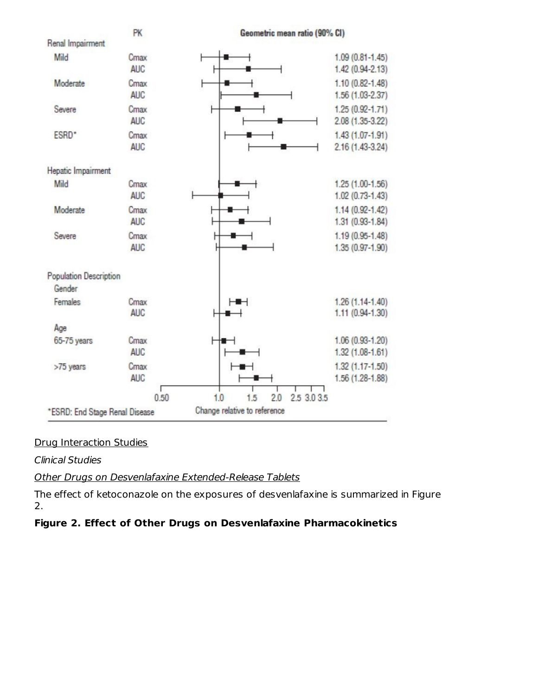

# Drug Interaction Studies

# Clinical Studies

Other Drugs on Desvenlafaxine Extended-Release Tablets

The effect of ketoconazole on the exposures of desvenlafaxine is summarized in Figure 2.

# **Figure 2. Effect of Other Drugs on Desvenlafaxine Pharmacokinetics**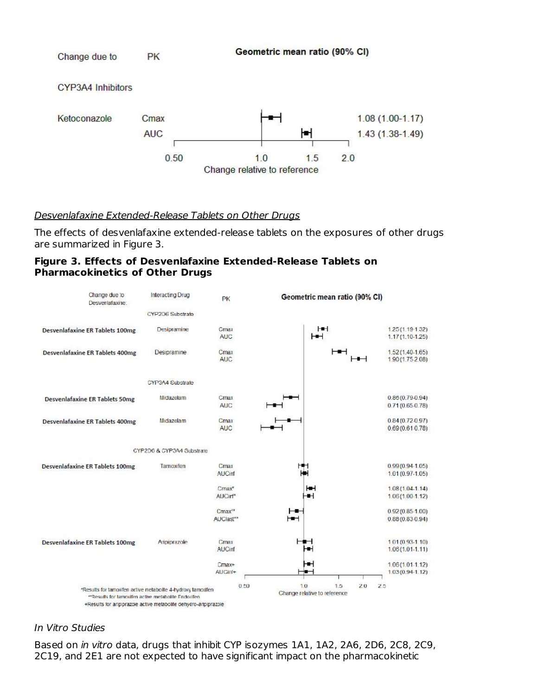

#### Desvenlafaxine Extended-Release Tablets on Other Drugs

The effects of desvenlafaxine extended-release tablets on the exposures of other drugs are summarized in Figure 3.

#### **Figure 3. Effects of Desvenlafaxine Extended-Release Tablets on Pharmacokinetics of Other Drugs**



### In Vitro Studies

Based on in vitro data, drugs that inhibit CYP isozymes 1A1, 1A2, 2A6, 2D6, 2C8, 2C9, 2C19, and 2E1 are not expected to have significant impact on the pharmacokinetic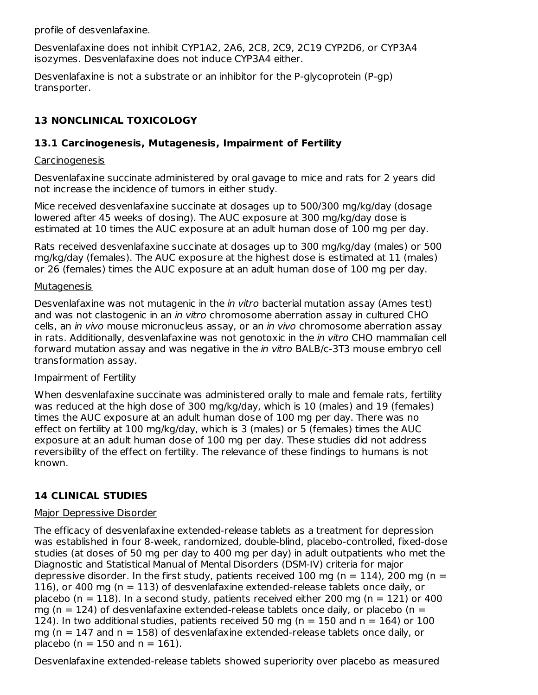profile of desvenlafaxine.

Desvenlafaxine does not inhibit CYP1A2, 2A6, 2C8, 2C9, 2C19 CYP2D6, or CYP3A4 isozymes. Desvenlafaxine does not induce CYP3A4 either.

Desvenlafaxine is not a substrate or an inhibitor for the P-glycoprotein (P-gp) transporter.

# **13 NONCLINICAL TOXICOLOGY**

### **13.1 Carcinogenesis, Mutagenesis, Impairment of Fertility**

#### Carcinogenesis

Desvenlafaxine succinate administered by oral gavage to mice and rats for 2 years did not increase the incidence of tumors in either study.

Mice received desvenlafaxine succinate at dosages up to 500/300 mg/kg/day (dosage lowered after 45 weeks of dosing). The AUC exposure at 300 mg/kg/day dose is estimated at 10 times the AUC exposure at an adult human dose of 100 mg per day.

Rats received desvenlafaxine succinate at dosages up to 300 mg/kg/day (males) or 500 mg/kg/day (females). The AUC exposure at the highest dose is estimated at 11 (males) or 26 (females) times the AUC exposure at an adult human dose of 100 mg per day.

### **Mutagenesis**

Desvenlafaxine was not mutagenic in the in vitro bacterial mutation assay (Ames test) and was not clastogenic in an in vitro chromosome aberration assay in cultured CHO cells, an *in vivo* mouse micronucleus assay, or an *in vivo* chromosome aberration assay in rats. Additionally, desvenlafaxine was not genotoxic in the in vitro CHO mammalian cell forward mutation assay and was negative in the *in vitro* BALB/c-3T3 mouse embryo cell transformation assay.

#### Impairment of Fertility

When desvenlafaxine succinate was administered orally to male and female rats, fertility was reduced at the high dose of 300 mg/kg/day, which is 10 (males) and 19 (females) times the AUC exposure at an adult human dose of 100 mg per day. There was no effect on fertility at 100 mg/kg/day, which is 3 (males) or 5 (females) times the AUC exposure at an adult human dose of 100 mg per day. These studies did not address reversibility of the effect on fertility. The relevance of these findings to humans is not known.

# **14 CLINICAL STUDIES**

### Major Depressive Disorder

The efficacy of desvenlafaxine extended-release tablets as a treatment for depression was established in four 8-week, randomized, double-blind, placebo-controlled, fixed-dose studies (at doses of 50 mg per day to 400 mg per day) in adult outpatients who met the Diagnostic and Statistical Manual of Mental Disorders (DSM-IV) criteria for major depressive disorder. In the first study, patients received 100 mg (n = 114), 200 mg (n = 116), or 400 mg ( $n = 113$ ) of desvenlafaxine extended-release tablets once daily, or placebo (n = 118). In a second study, patients received either 200 mg (n = 121) or 400 mg ( $n = 124$ ) of desvenlafaxine extended-release tablets once daily, or placebo ( $n =$ 124). In two additional studies, patients received 50 mg ( $n = 150$  and  $n = 164$ ) or 100 mg ( $n = 147$  and  $n = 158$ ) of desvenlafaxine extended-release tablets once daily, or placebo ( $n = 150$  and  $n = 161$ ).

Desvenlafaxine extended-release tablets showed superiority over placebo as measured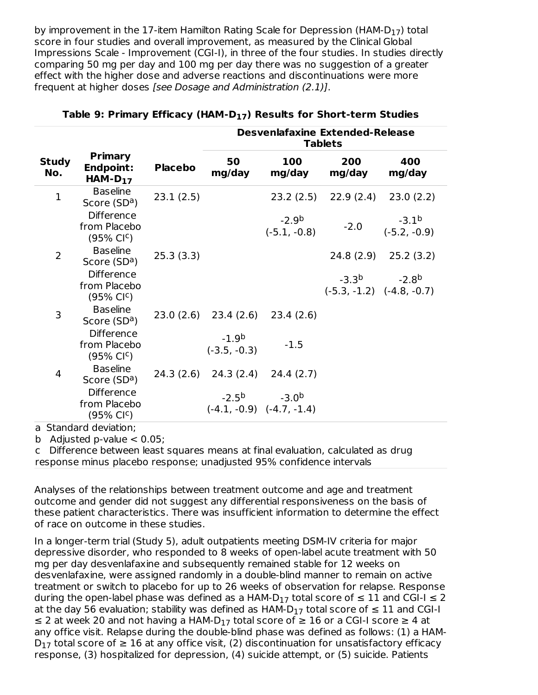by improvement in the 17-item Hamilton Rating Scale for Depression (HAM-D $_{\rm 17}$ ) total score in four studies and overall improvement, as measured by the Clinical Global Impressions Scale - Improvement (CGI-I), in three of the four studies. In studies directly comparing 50 mg per day and 100 mg per day there was no suggestion of a greater effect with the higher dose and adverse reactions and discontinuations were more frequent at higher doses [see Dosage and Administration (2.1)].

|                     |                                                                          |                |                                  | <b>Desvenlafaxine Extended-Release</b>                         | <b>Tablets</b>                |                           |  |
|---------------------|--------------------------------------------------------------------------|----------------|----------------------------------|----------------------------------------------------------------|-------------------------------|---------------------------|--|
| <b>Study</b><br>No. | <b>Primary</b><br><b>Endpoint:</b><br>$HAM-D_{17}$                       | <b>Placebo</b> | 50<br>mg/day                     | 100<br>mg/day                                                  | 200<br>mg/day                 | 400<br>mg/day             |  |
| $\mathbf 1$         | <b>Baseline</b><br>Score (SD <sup>a</sup> )                              | 23.1(2.5)      |                                  |                                                                | $23.2(2.5)$ $22.9(2.4)$       | 23.0(2.2)                 |  |
|                     | <b>Difference</b><br>from Placebo<br>(95% CI <sup>c</sup> )              |                |                                  | $-2.9b$<br>$(-5.1, -0.8)$                                      | $-2.0$                        | $-3.1b$<br>$(-5.2, -0.9)$ |  |
| $\overline{2}$      | <b>Baseline</b><br>Score (SD <sup>a</sup> )                              | 25.3(3.3)      |                                  |                                                                |                               | $24.8(2.9)$ 25.2 (3.2)    |  |
|                     | <b>Difference</b><br>from Placebo<br>(95% CI <sup>c</sup> )              |                |                                  |                                                                | $(-5.3, -1.2)$ $(-4.8, -0.7)$ | $-3.3^{b}$ $-2.8^{b}$     |  |
| 3                   | <b>Baseline</b><br>Score (SD <sup>a</sup> )                              |                | 23.0 (2.6) 23.4 (2.6) 23.4 (2.6) |                                                                |                               |                           |  |
|                     | <b>Difference</b><br>from Placebo<br>(95% CI <sup>c</sup> )              |                | $-1.9b$<br>$(-3.5, -0.3)$        | $-1.5$                                                         |                               |                           |  |
| $\overline{4}$      | <b>Baseline</b><br>Score (SD <sup>a</sup> )                              |                | 24.3 (2.6) 24.3 (2.4) 24.4 (2.7) |                                                                |                               |                           |  |
|                     | <b>Difference</b><br>from Placebo<br>(95% CI <sup>c</sup> )              |                |                                  | $-2.5^{\circ}$ $-3.0^{\circ}$<br>$(-4.1, -0.9)$ $(-4.7, -1.4)$ |                               |                           |  |
|                     | a Standard deviation;<br>$\mathsf{L}$ Adjusted is uslimited $\mathsf{A}$ |                |                                  |                                                                |                               |                           |  |

| Table 9: Primary Efficacy (HAM- $D_{17}$ ) Results for Short-term Studies |  |
|---------------------------------------------------------------------------|--|
|---------------------------------------------------------------------------|--|

b Adjusted p-value  $< 0.05$ ;

c Difference between least squares means at final evaluation, calculated as drug response minus placebo response; unadjusted 95% confidence intervals

Analyses of the relationships between treatment outcome and age and treatment outcome and gender did not suggest any differential responsiveness on the basis of these patient characteristics. There was insufficient information to determine the effect of race on outcome in these studies.

In a longer-term trial (Study 5), adult outpatients meeting DSM-IV criteria for major depressive disorder, who responded to 8 weeks of open-label acute treatment with 50 mg per day desvenlafaxine and subsequently remained stable for 12 weeks on desvenlafaxine, were assigned randomly in a double-blind manner to remain on active treatment or switch to placebo for up to 26 weeks of observation for relapse. Response during the open-label phase was defined as a HAM-D $_{17}$  total score of  $\leq 11$  and CGI-I  $\leq 2$ at the day 56 evaluation; stability was defined as  ${\sf HAM-D_{17}}$  total score of  $\le 11$  and CGI-I ≤ 2 at week 20 and not having a HAM-D<sub>17</sub> total score of ≥ 16 or a CGI-I score ≥ 4 at any office visit. Relapse during the double-blind phase was defined as follows: (1) a HAM-D<sub>17</sub> total score of  $\geq 16$  at any office visit, (2) discontinuation for unsatisfactory efficacy response, (3) hospitalized for depression, (4) suicide attempt, or (5) suicide. Patients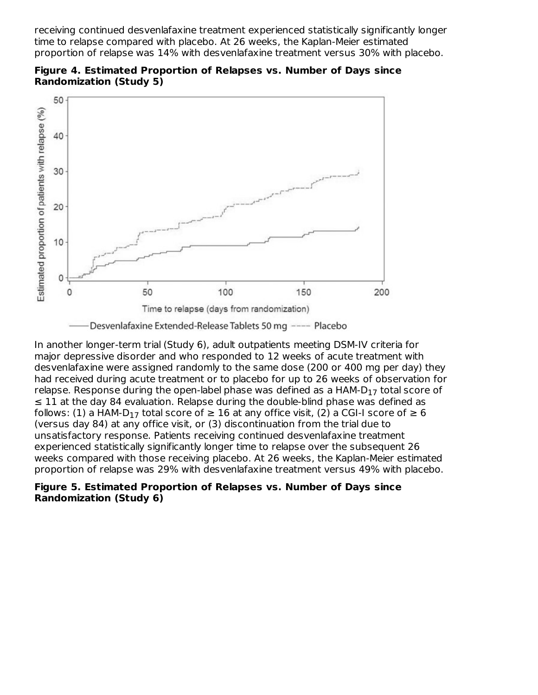receiving continued desvenlafaxine treatment experienced statistically significantly longer time to relapse compared with placebo. At 26 weeks, the Kaplan-Meier estimated proportion of relapse was 14% with desvenlafaxine treatment versus 30% with placebo.





Desvenlafaxine Extended-Release Tablets 50 mg ---- Placebo

In another longer-term trial (Study 6), adult outpatients meeting DSM-IV criteria for major depressive disorder and who responded to 12 weeks of acute treatment with desvenlafaxine were assigned randomly to the same dose (200 or 400 mg per day) they had received during acute treatment or to placebo for up to 26 weeks of observation for relapse. Response during the open-label phase was defined as a  ${\sf HAM\text{-}D_{17}}$  total score of  $\leq$  11 at the day 84 evaluation. Relapse during the double-blind phase was defined as follows: (1) a HAM-D $_{17}$  total score of  $\geq 16$  at any office visit, (2) a CGI-I score of  $\geq 6$ (versus day 84) at any office visit, or (3) discontinuation from the trial due to unsatisfactory response. Patients receiving continued desvenlafaxine treatment experienced statistically significantly longer time to relapse over the subsequent 26 weeks compared with those receiving placebo. At 26 weeks, the Kaplan-Meier estimated proportion of relapse was 29% with desvenlafaxine treatment versus 49% with placebo.

#### **Figure 5. Estimated Proportion of Relapses vs. Number of Days since Randomization (Study 6)**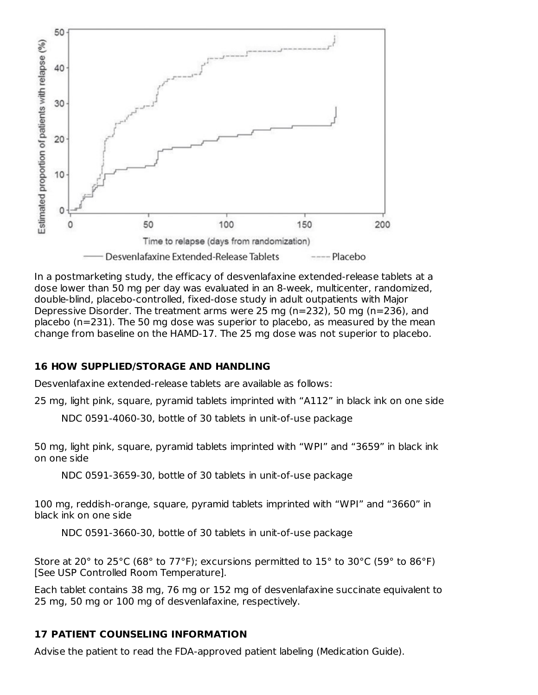

In a postmarketing study, the efficacy of desvenlafaxine extended-release tablets at a dose lower than 50 mg per day was evaluated in an 8-week, multicenter, randomized, double-blind, placebo-controlled, fixed-dose study in adult outpatients with Major Depressive Disorder. The treatment arms were 25 mg (n=232), 50 mg (n=236), and placebo ( $n=231$ ). The 50 mg dose was superior to placebo, as measured by the mean change from baseline on the HAMD-17. The 25 mg dose was not superior to placebo.

### **16 HOW SUPPLIED/STORAGE AND HANDLING**

Desvenlafaxine extended-release tablets are available as follows:

25 mg, light pink, square, pyramid tablets imprinted with "A112" in black ink on one side

NDC 0591-4060-30, bottle of 30 tablets in unit-of-use package

50 mg, light pink, square, pyramid tablets imprinted with "WPI" and "3659" in black ink on one side

NDC 0591-3659-30, bottle of 30 tablets in unit-of-use package

100 mg, reddish-orange, square, pyramid tablets imprinted with "WPI" and "3660" in black ink on one side

NDC 0591-3660-30, bottle of 30 tablets in unit-of-use package

Store at 20 $^{\circ}$  to 25 $^{\circ}$ C (68 $^{\circ}$  to 77 $^{\circ}$ F); excursions permitted to 15 $^{\circ}$  to 30 $^{\circ}$ C (59 $^{\circ}$  to 86 $^{\circ}$ F) [See USP Controlled Room Temperature].

Each tablet contains 38 mg, 76 mg or 152 mg of desvenlafaxine succinate equivalent to 25 mg, 50 mg or 100 mg of desvenlafaxine, respectively.

#### **17 PATIENT COUNSELING INFORMATION**

Advise the patient to read the FDA-approved patient labeling (Medication Guide).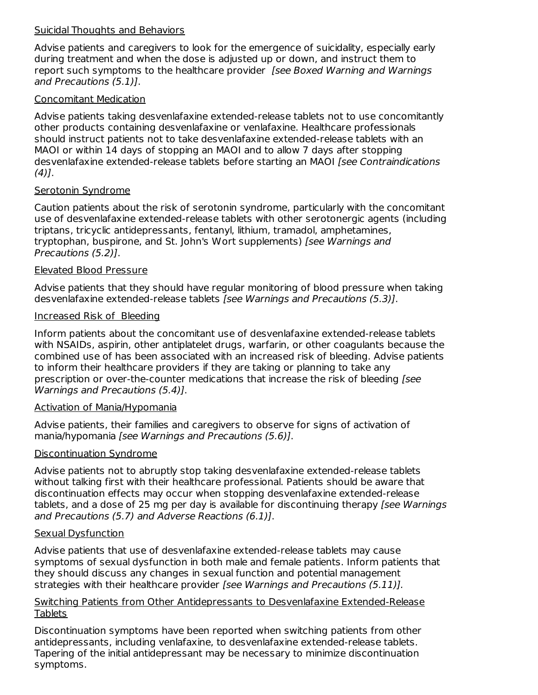### Suicidal Thoughts and Behaviors

Advise patients and caregivers to look for the emergence of suicidality, especially early during treatment and when the dose is adjusted up or down, and instruct them to report such symptoms to the healthcare provider *[see Boxed Warning and Warnings* and Precautions (5.1)].

# Concomitant Medication

Advise patients taking desvenlafaxine extended-release tablets not to use concomitantly other products containing desvenlafaxine or venlafaxine. Healthcare professionals should instruct patients not to take desvenlafaxine extended-release tablets with an MAOI or within 14 days of stopping an MAOI and to allow 7 days after stopping desvenlafaxine extended-release tablets before starting an MAOI [see Contraindications  $(4)$ ].

# Serotonin Syndrome

Caution patients about the risk of serotonin syndrome, particularly with the concomitant use of desvenlafaxine extended-release tablets with other serotonergic agents (including triptans, tricyclic antidepressants, fentanyl, lithium, tramadol, amphetamines, tryptophan, buspirone, and St. John's Wort supplements) [see Warnings and Precautions (5.2)].

# Elevated Blood Pressure

Advise patients that they should have regular monitoring of blood pressure when taking desvenlafaxine extended-release tablets [see Warnings and Precautions (5.3)].

# Increased Risk of Bleeding

Inform patients about the concomitant use of desvenlafaxine extended-release tablets with NSAIDs, aspirin, other antiplatelet drugs, warfarin, or other coagulants because the combined use of has been associated with an increased risk of bleeding. Advise patients to inform their healthcare providers if they are taking or planning to take any prescription or over-the-counter medications that increase the risk of bleeding [see Warnings and Precautions (5.4)].

# Activation of Mania/Hypomania

Advise patients, their families and caregivers to observe for signs of activation of mania/hypomania [see Warnings and Precautions (5.6)].

# Discontinuation Syndrome

Advise patients not to abruptly stop taking desvenlafaxine extended-release tablets without talking first with their healthcare professional. Patients should be aware that discontinuation effects may occur when stopping desvenlafaxine extended-release tablets, and a dose of 25 mg per day is available for discontinuing therapy [see Warnings] and Precautions (5.7) and Adverse Reactions (6.1)].

# Sexual Dysfunction

Advise patients that use of desvenlafaxine extended-release tablets may cause symptoms of sexual dysfunction in both male and female patients. Inform patients that they should discuss any changes in sexual function and potential management strategies with their healthcare provider [see Warnings and Precautions (5.11)].

### Switching Patients from Other Antidepressants to Desvenlafaxine Extended-Release **Tablets**

Discontinuation symptoms have been reported when switching patients from other antidepressants, including venlafaxine, to desvenlafaxine extended-release tablets. Tapering of the initial antidepressant may be necessary to minimize discontinuation symptoms.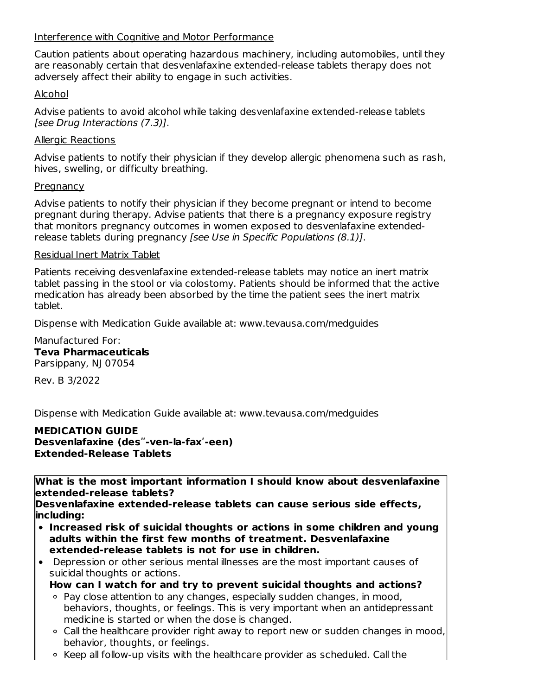#### Interference with Cognitive and Motor Performance

Caution patients about operating hazardous machinery, including automobiles, until they are reasonably certain that desvenlafaxine extended-release tablets therapy does not adversely affect their ability to engage in such activities.

### Alcohol

Advise patients to avoid alcohol while taking desvenlafaxine extended-release tablets [see Drug Interactions (7.3)].

#### Allergic Reactions

Advise patients to notify their physician if they develop allergic phenomena such as rash, hives, swelling, or difficulty breathing.

#### **Pregnancy**

Advise patients to notify their physician if they become pregnant or intend to become pregnant during therapy. Advise patients that there is a pregnancy exposure registry that monitors pregnancy outcomes in women exposed to desvenlafaxine extendedrelease tablets during pregnancy [see Use in Specific Populations (8.1)].

#### Residual Inert Matrix Tablet

Patients receiving desvenlafaxine extended-release tablets may notice an inert matrix tablet passing in the stool or via colostomy. Patients should be informed that the active medication has already been absorbed by the time the patient sees the inert matrix tablet.

Dispense with Medication Guide available at: www.tevausa.com/medguides

Manufactured For: **Teva Pharmaceuticals** Parsippany, NJ 07054

Rev. B 3/2022

Dispense with Medication Guide available at: www.tevausa.com/medguides

# **MEDICATION GUIDE**

**Desvenlafaxine (desʺ-ven-la-faxʹ-een) Extended-Release Tablets**

**What is the most important information I should know about desvenlafaxine extended-release tablets?**

**Desvenlafaxine extended-release tablets can cause serious side effects, including:**

- **Increased risk of suicidal thoughts or actions in some children and young adults within the first few months of treatment. Desvenlafaxine extended-release tablets is not for use in children.**
- Depression or other serious mental illnesses are the most important causes of suicidal thoughts or actions.

**How can I watch for and try to prevent suicidal thoughts and actions?**

- $\circ$  Pay close attention to any changes, especially sudden changes, in mood, behaviors, thoughts, or feelings. This is very important when an antidepressant medicine is started or when the dose is changed.
- Call the healthcare provider right away to report new or sudden changes in mood, behavior, thoughts, or feelings.
- $\circ$  Keep all follow-up visits with the healthcare provider as scheduled. Call the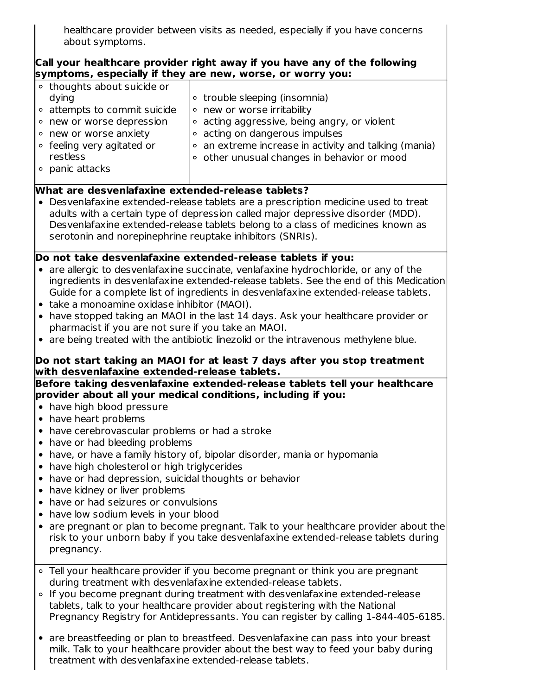healthcare provider between visits as needed, especially if you have concerns about symptoms.

### **Call your healthcare provider right away if you have any of the following symptoms, especially if they are new, worse, or worry you:**

| • thoughts about suicide or<br>dying<br>attempts to commit suicide<br>• new or worse depression<br>∘ new or worse anxiety<br>∘ feeling very agitated or<br>restless<br>∘ panic attacks                                                                                                                                                                                                       | ∘ trouble sleeping (insomnia)<br>new or worse irritability<br>acting aggressive, being angry, or violent<br>$\circ$<br>acting on dangerous impulses<br>$\circ$<br>• an extreme increase in activity and talking (mania)<br>• other unusual changes in behavior or mood                                                                                                                                                                                                                                                                                                                        |
|----------------------------------------------------------------------------------------------------------------------------------------------------------------------------------------------------------------------------------------------------------------------------------------------------------------------------------------------------------------------------------------------|-----------------------------------------------------------------------------------------------------------------------------------------------------------------------------------------------------------------------------------------------------------------------------------------------------------------------------------------------------------------------------------------------------------------------------------------------------------------------------------------------------------------------------------------------------------------------------------------------|
| What are desvenlafaxine extended-release tablets?<br>serotonin and norepinephrine reuptake inhibitors (SNRIs).                                                                                                                                                                                                                                                                               | • Desvenlafaxine extended-release tablets are a prescription medicine used to treat<br>adults with a certain type of depression called major depressive disorder (MDD).<br>Desvenlafaxine extended-release tablets belong to a class of medicines known as                                                                                                                                                                                                                                                                                                                                    |
| take a monoamine oxidase inhibitor (MAOI).<br>$\bullet$<br>pharmacist if you are not sure if you take an MAOI.<br>with desvenlafaxine extended-release tablets.                                                                                                                                                                                                                              | Do not take desvenlafaxine extended-release tablets if you:<br>• are allergic to desvenlafaxine succinate, venlafaxine hydrochloride, or any of the<br>ingredients in desvenlafaxine extended-release tablets. See the end of this Medication<br>Guide for a complete list of ingredients in desvenlafaxine extended-release tablets.<br>have stopped taking an MAOI in the last 14 days. Ask your healthcare provider or<br>• are being treated with the antibiotic linezolid or the intravenous methylene blue.<br>Do not start taking an MAOI for at least 7 days after you stop treatment |
| • have high blood pressure<br>• have heart problems<br>• have cerebrovascular problems or had a stroke<br>have or had bleeding problems<br>$\bullet$<br>• have high cholesterol or high triglycerides<br>have or had depression, suicidal thoughts or behavior<br>have kidney or liver problems<br>have or had seizures or convulsions<br>have low sodium levels in your blood<br>pregnancy. | Before taking desvenlafaxine extended-release tablets tell your healthcare<br>provider about all your medical conditions, including if you:<br>• have, or have a family history of, bipolar disorder, mania or hypomania<br>are pregnant or plan to become pregnant. Talk to your healthcare provider about the<br>risk to your unborn baby if you take desvenlafaxine extended-release tablets during<br>• Tell your healthcare provider if you become pregnant or think you are pregnant                                                                                                    |
|                                                                                                                                                                                                                                                                                                                                                                                              | during treatment with desvenlafaxine extended-release tablets.<br>○ If you become pregnant during treatment with desvenlafaxine extended-release<br>tablets, talk to your healthcare provider about registering with the National<br>Pregnancy Registry for Antidepressants. You can register by calling 1-844-405-6185.                                                                                                                                                                                                                                                                      |

are breastfeeding or plan to breastfeed. Desvenlafaxine can pass into your breast milk. Talk to your healthcare provider about the best way to feed your baby during treatment with desvenlafaxine extended-release tablets.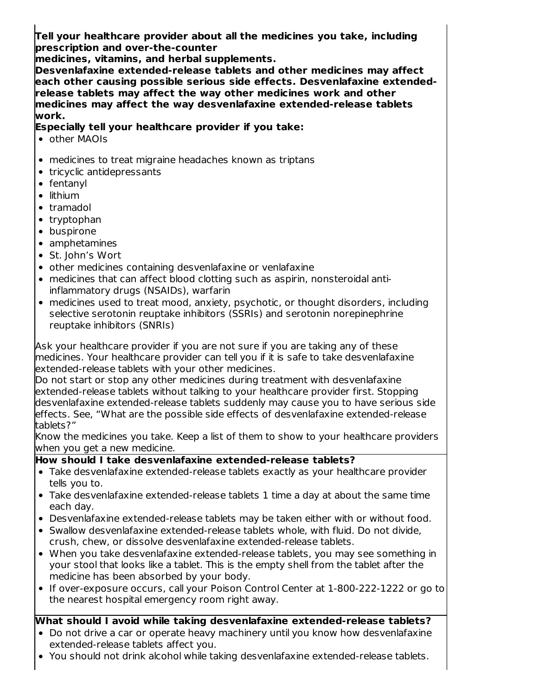**Tell your healthcare provider about all the medicines you take, including prescription and over-the-counter**

**medicines, vitamins, and herbal supplements.**

**Desvenlafaxine extended-release tablets and other medicines may affect each other causing possible serious side effects. Desvenlafaxine extendedrelease tablets may affect the way other medicines work and other medicines may affect the way desvenlafaxine extended-release tablets work.**

**Especially tell your healthcare provider if you take:**

- other MAOIs
- medicines to treat migraine headaches known as triptans
- tricyclic antidepressants
- fentanyl
- lithium
- tramadol
- tryptophan
- buspirone
- amphetamines
- St. John's Wort
- other medicines containing desvenlafaxine or venlafaxine
- medicines that can affect blood clotting such as aspirin, nonsteroidal antiinflammatory drugs (NSAIDs), warfarin
- medicines used to treat mood, anxiety, psychotic, or thought disorders, including selective serotonin reuptake inhibitors (SSRIs) and serotonin norepinephrine reuptake inhibitors (SNRIs)

Ask your healthcare provider if you are not sure if you are taking any of these medicines. Your healthcare provider can tell you if it is safe to take desvenlafaxine extended-release tablets with your other medicines.

Do not start or stop any other medicines during treatment with desvenlafaxine extended-release tablets without talking to your healthcare provider first. Stopping desvenlafaxine extended-release tablets suddenly may cause you to have serious side effects. See, "What are the possible side effects of desvenlafaxine extended-release tablets?"

Know the medicines you take. Keep a list of them to show to your healthcare providers when you get a new medicine.

### **How should I take desvenlafaxine extended-release tablets?**

- Take desvenlafaxine extended-release tablets exactly as your healthcare provider tells you to.
- Take desvenlafaxine extended-release tablets 1 time a day at about the same time each day.
- Desvenlafaxine extended-release tablets may be taken either with or without food.
- Swallow desvenlafaxine extended-release tablets whole, with fluid. Do not divide, crush, chew, or dissolve desvenlafaxine extended-release tablets.
- When you take desvenlafaxine extended-release tablets, you may see something in your stool that looks like a tablet. This is the empty shell from the tablet after the medicine has been absorbed by your body.
- If over-exposure occurs, call your Poison Control Center at 1-800-222-1222 or go to the nearest hospital emergency room right away.

# **What should I avoid while taking desvenlafaxine extended-release tablets?**

- Do not drive a car or operate heavy machinery until you know how desvenlafaxine extended-release tablets affect you.
- You should not drink alcohol while taking desvenlafaxine extended-release tablets.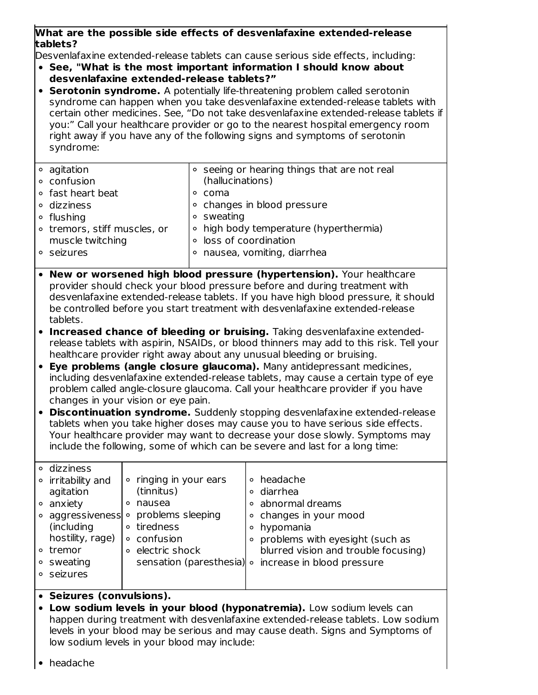### **What are the possible side effects of desvenlafaxine extended-release tablets?**

Desvenlafaxine extended-release tablets can cause serious side effects, including:

- **See, "What is the most important information I should know about desvenlafaxine extended-release tablets?"**
- **Serotonin syndrome.** A potentially life-threatening problem called serotonin syndrome can happen when you take desvenlafaxine extended-release tablets with certain other medicines. See, "Do not take desvenlafaxine extended-release tablets if you:" Call your healthcare provider or go to the nearest hospital emergency room right away if you have any of the following signs and symptoms of serotonin syndrome:

| $\circ$ agitation                                                     | ○ seeing or hearing things that are not real                                                                 |
|-----------------------------------------------------------------------|--------------------------------------------------------------------------------------------------------------|
| ○ confusion                                                           | (hallucinations)                                                                                             |
| ∘ fast heart beat                                                     | coma                                                                                                         |
| ∘ dizziness                                                           | • changes in blood pressure                                                                                  |
| ∘ flushing                                                            | • sweating                                                                                                   |
| ○ tremors, stiff muscles, or                                          | • high body temperature (hyperthermia)                                                                       |
| muscle twitching                                                      | ○ loss of coordination                                                                                       |
| • seizures                                                            | ∘ nausea, vomiting, diarrhea                                                                                 |
|                                                                       |                                                                                                              |
|                                                                       | الملازين بالمتحصص والمستحيل والمستحصر والمتحاول ومرزو وجومي المحاول المرزور رزاحه والمرازي والمستحلف المتحدث |
| • New or worsened high blood pressure (hypertension). Your healthcare |                                                                                                              |

- provider should check your blood pressure before and during treatment with desvenlafaxine extended-release tablets. If you have high blood pressure, it should be controlled before you start treatment with desvenlafaxine extended-release tablets.
- **Increased chance of bleeding or bruising.** Taking desvenlafaxine extendedrelease tablets with aspirin, NSAIDs, or blood thinners may add to this risk. Tell your healthcare provider right away about any unusual bleeding or bruising.
- **Eye problems (angle closure glaucoma).** Many antidepressant medicines, including desvenlafaxine extended-release tablets, may cause a certain type of eye problem called angle-closure glaucoma. Call your healthcare provider if you have changes in your vision or eye pain.
- **Discontinuation syndrome.** Suddenly stopping desvenlafaxine extended-release tablets when you take higher doses may cause you to have serious side effects. Your healthcare provider may want to decrease your dose slowly. Symptoms may include the following, some of which can be severe and last for a long time:

|         | dizziness          |         |                        |         |                                                      |
|---------|--------------------|---------|------------------------|---------|------------------------------------------------------|
|         | • irritability and |         | • ringing in your ears | $\circ$ | headache                                             |
|         | agitation          |         | (tinnitus)             | $\circ$ | diarrhea                                             |
| $\circ$ | anxiety            | o       | nausea                 |         | • abnormal dreams                                    |
| $\circ$ | aggressiveness     | $\circ$ | problems sleeping      |         | • changes in your mood                               |
|         | (including         | $\circ$ | tiredness              | o       | hypomania                                            |
|         | hostility, rage)   |         | • confusion            | $\circ$ | problems with eyesight (such as                      |
|         | • tremor           | $\circ$ | electric shock         |         | blurred vision and trouble focusing)                 |
|         | • sweating         |         |                        |         | sensation (paresthesia) • increase in blood pressure |
| $\circ$ | seizures           |         |                        |         |                                                      |
|         |                    |         |                        |         |                                                      |

# **Seizures (convulsions).**

**Low sodium levels in your blood (hyponatremia).** Low sodium levels can happen during treatment with desvenlafaxine extended-release tablets. Low sodium levels in your blood may be serious and may cause death. Signs and Symptoms of low sodium levels in your blood may include:

headache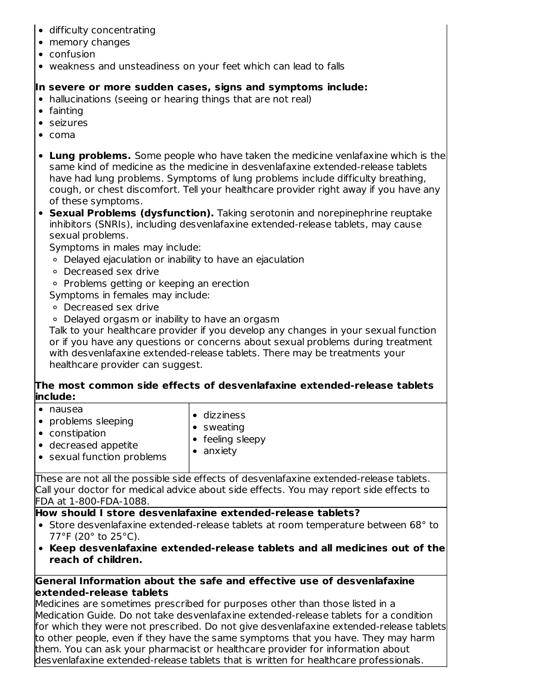- difficulty concentrating
- memory changes
- confusion
- weakness and unsteadiness on your feet which can lead to falls

# **In severe or more sudden cases, signs and symptoms include:**

- hallucinations (seeing or hearing things that are not real)
- $\bullet$  fainting
- seizures
- $\bullet$  coma
- **Lung problems.** Some people who have taken the medicine venlafaxine which is the same kind of medicine as the medicine in desvenlafaxine extended-release tablets have had lung problems. Symptoms of lung problems include difficulty breathing, cough, or chest discomfort. Tell your healthcare provider right away if you have any of these symptoms.
- **Sexual Problems (dysfunction).** Taking serotonin and norepinephrine reuptake inhibitors (SNRIs), including desvenlafaxine extended-release tablets, may cause sexual problems.

Symptoms in males may include:

- Delayed ejaculation or inability to have an ejaculation
- Decreased sex drive
- Problems getting or keeping an erection

Symptoms in females may include:

- Decreased sex drive
- Delayed orgasm or inability to have an orgasm

Talk to your healthcare provider if you develop any changes in your sexual function or if you have any questions or concerns about sexual problems during treatment with desvenlafaxine extended-release tablets. There may be treatments your healthcare provider can suggest.

### **The most common side effects of desvenlafaxine extended-release tablets include:**

| • nausea<br>$\bullet$ problems sleeping<br>$\bullet$ constipation<br>$\bullet$ decreased appetite<br>$\cdot$ sexual function problems | $\bullet$ dizziness<br>$\bullet$ sweating<br>$\cdot$ feeling sleepy<br>$\bullet$ anxiety |
|---------------------------------------------------------------------------------------------------------------------------------------|------------------------------------------------------------------------------------------|
|---------------------------------------------------------------------------------------------------------------------------------------|------------------------------------------------------------------------------------------|

These are not all the possible side effects of desvenlafaxine extended-release tablets. Call your doctor for medical advice about side effects. You may report side effects to FDA at 1-800-FDA-1088.

# **How should I store desvenlafaxine extended-release tablets?**

- Store desvenlafaxine extended-release tablets at room temperature between 68° to 77°F (20° to 25°C).
- **Keep desvenlafaxine extended-release tablets and all medicines out of the reach of children.**

### **General Information about the safe and effective use of desvenlafaxine extended-release tablets**

Medicines are sometimes prescribed for purposes other than those listed in a Medication Guide. Do not take desvenlafaxine extended-release tablets for a condition for which they were not prescribed. Do not give desvenlafaxine extended-release tablets to other people, even if they have the same symptoms that you have. They may harm them. You can ask your pharmacist or healthcare provider for information about desvenlafaxine extended-release tablets that is written for healthcare professionals.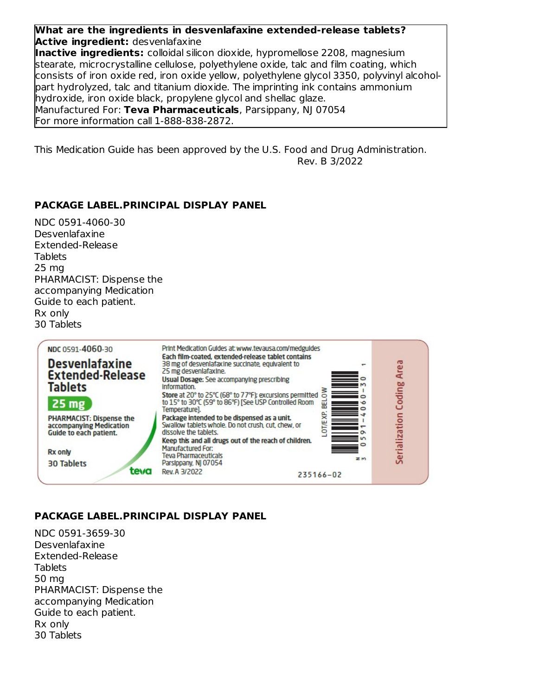**What are the ingredients in desvenlafaxine extended-release tablets? Active ingredient:** desvenlafaxine **Inactive ingredients:** colloidal silicon dioxide, hypromellose 2208, magnesium stearate, microcrystalline cellulose, polyethylene oxide, talc and film coating, which consists of iron oxide red, iron oxide yellow, polyethylene glycol 3350, polyvinyl alcoholpart hydrolyzed, talc and titanium dioxide. The imprinting ink contains ammonium hydroxide, iron oxide black, propylene glycol and shellac glaze. Manufactured For: **Teva Pharmaceuticals**, Parsippany, NJ 07054 For more information call 1-888-838-2872.

This Medication Guide has been approved by the U.S. Food and Drug Administration. Rev. B 3/2022

#### **PACKAGE LABEL.PRINCIPAL DISPLAY PANEL**

NDC 0591-4060-30 Desvenlafaxine Extended-Release **Tablets** 25 mg PHARMACIST: Dispense the accompanying Medication Guide to each patient. Rx only 30 Tablets



# **PACKAGE LABEL.PRINCIPAL DISPLAY PANEL**

NDC 0591-3659-30 Desvenlafaxine Extended-Release **Tablets** 50 mg PHARMACIST: Dispense the accompanying Medication Guide to each patient. Rx only 30 Tablets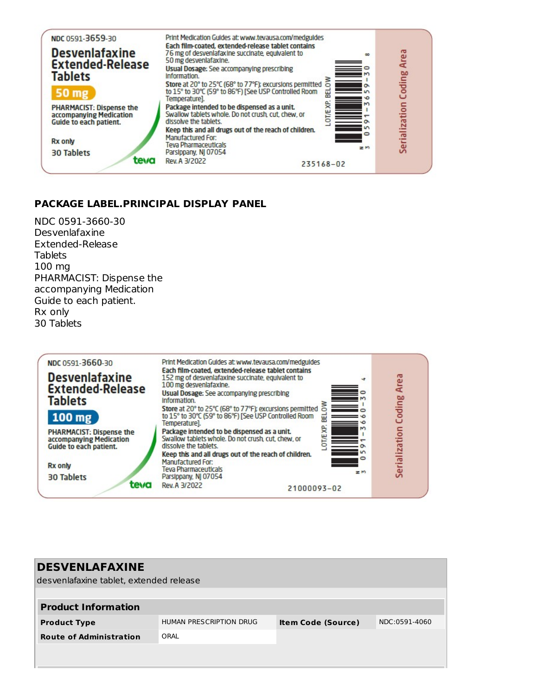| NDC 0591-3659-30                                           | Print Medication Guides at: www.tevausa.com/medguides<br>Each film-coated, extended-release tablet contains                               |         |             |
|------------------------------------------------------------|-------------------------------------------------------------------------------------------------------------------------------------------|---------|-------------|
| <b>Desvenlafaxine</b>                                      | 76 mg of desvenlafaxine succinate, equivalent to                                                                                          | eo.     |             |
| <b>Extended-Release</b>                                    | 50 mg desvenlafaxine.<br>Usual Dosage: See accompanying prescribing                                                                       |         | <b>Area</b> |
| Tablets                                                    | Information.<br>℥                                                                                                                         |         |             |
| 50 mg                                                      | Store at 20° to 25°C (68° to 77°F); excursions permitted 6<br>to 15° to 30°C (59° to 86°F) [See USP Controlled Room<br>핆<br>Temperature]. |         | Coding      |
| <b>PHARMACIST: Dispense the</b><br>accompanying Medication | OT/E XP.<br>Package intended to be dispensed as a unit.<br>Swallow tablets whole. Do not crush, cut, chew, or                             |         | rialization |
| Guide to each patient.                                     | dissolve the tablets.<br>Keep this and all drugs out of the reach of children.                                                            | 0       |             |
| <b>Rx only</b>                                             | Manufactured For:<br><b>Teva Pharmaceuticals</b>                                                                                          |         |             |
| <b>30 Tablets</b>                                          | Parsippany, NJ 07054                                                                                                                      | $=$ $m$ | <b>Se</b>   |
| teva                                                       | Rev. A 3/2022<br>235168-02                                                                                                                |         |             |

### **PACKAGE LABEL.PRINCIPAL DISPLAY PANEL**



| <b>DESVENLAFAXINE</b>                   |                         |                           |               |  |  |  |
|-----------------------------------------|-------------------------|---------------------------|---------------|--|--|--|
| desvenlafaxine tablet, extended release |                         |                           |               |  |  |  |
|                                         |                         |                           |               |  |  |  |
| <b>Product Information</b>              |                         |                           |               |  |  |  |
| <b>Product Type</b>                     | HUMAN PRESCRIPTION DRUG | <b>Item Code (Source)</b> | NDC:0591-4060 |  |  |  |
| <b>Route of Administration</b>          | ORAL                    |                           |               |  |  |  |
|                                         |                         |                           |               |  |  |  |
|                                         |                         |                           |               |  |  |  |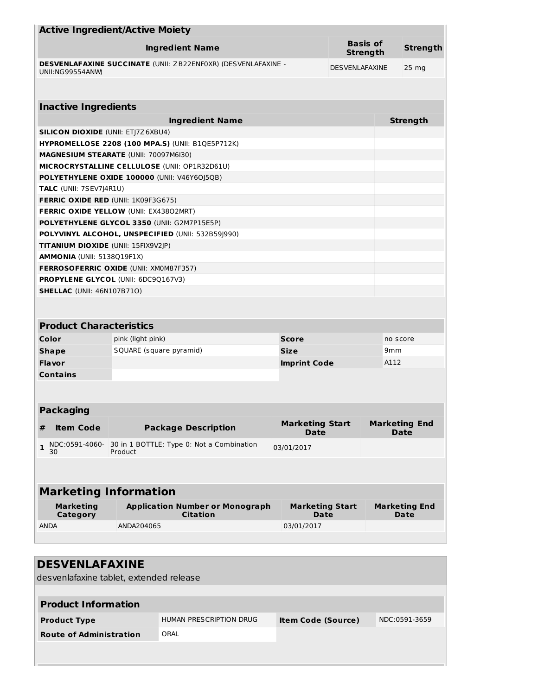| <b>Active Ingredient/Active Moiety</b> |                                                       |                                                               |                                       |                        |                 |                              |
|----------------------------------------|-------------------------------------------------------|---------------------------------------------------------------|---------------------------------------|------------------------|-----------------|------------------------------|
|                                        | <b>Basis of</b><br><b>Ingredient Name</b><br>Strength |                                                               |                                       | <b>Strength</b>        |                 |                              |
|                                        | UNII:NG99554ANW                                       | DESVENLAFAXINE SUCCINATE (UNII: ZB22ENF0XR) (DESVENLAFAXINE - |                                       | <b>DES VENLAFAXINE</b> |                 | 25 <sub>mg</sub>             |
|                                        |                                                       |                                                               |                                       |                        |                 |                              |
|                                        | <b>Inactive Ingredients</b>                           |                                                               |                                       |                        |                 |                              |
|                                        |                                                       | <b>Ingredient Name</b>                                        |                                       |                        |                 | <b>Strength</b>              |
|                                        |                                                       | <b>SILICON DIOXIDE (UNII: ET 7Z6XBU4)</b>                     |                                       |                        |                 |                              |
|                                        |                                                       | <b>HYPROMELLOSE 2208 (100 MPA.S) (UNII: B1QE5P712K)</b>       |                                       |                        |                 |                              |
|                                        |                                                       | MAGNESIUM STEARATE (UNII: 70097M6I30)                         |                                       |                        |                 |                              |
|                                        |                                                       | MICROCRYSTALLINE CELLULOSE (UNII: OP1R32D61U)                 |                                       |                        |                 |                              |
|                                        |                                                       | POLYETHYLENE OXIDE 100000 (UNII: V46Y6OJ5QB)                  |                                       |                        |                 |                              |
|                                        | <b>TALC</b> (UNII: 7SEV7J4R1U)                        |                                                               |                                       |                        |                 |                              |
|                                        |                                                       | FERRIC OXIDE RED (UNII: 1K09F3G675)                           |                                       |                        |                 |                              |
|                                        |                                                       | FERRIC OXIDE YELLOW (UNII: EX43802MRT)                        |                                       |                        |                 |                              |
|                                        |                                                       | POLYETHYLENE GLYCOL 3350 (UNII: G2M7P15E5P)                   |                                       |                        |                 |                              |
|                                        |                                                       | POLYVINYL ALCOHOL, UNSPECIFIED (UNII: 532B59J990)             |                                       |                        |                 |                              |
|                                        |                                                       | <b>TITANIUM DIOXIDE (UNII: 15FIX9V2JP)</b>                    |                                       |                        |                 |                              |
|                                        | AMMONIA (UNII: 5138Q19F1X)                            |                                                               |                                       |                        |                 |                              |
|                                        |                                                       | FERROSOFERRIC OXIDE (UNII: XM0M87F357)                        |                                       |                        |                 |                              |
|                                        |                                                       | <b>PROPYLENE GLYCOL (UNII: 6DC9Q167V3)</b>                    |                                       |                        |                 |                              |
|                                        | <b>SHELLAC (UNII: 46N107B710)</b>                     |                                                               |                                       |                        |                 |                              |
|                                        |                                                       |                                                               |                                       |                        |                 |                              |
|                                        |                                                       |                                                               |                                       |                        |                 |                              |
|                                        | <b>Product Characteristics</b>                        |                                                               |                                       |                        |                 |                              |
|                                        | Color                                                 | pink (light pink)                                             | <b>Score</b>                          |                        |                 | no score                     |
|                                        | <b>Shape</b>                                          | SQUARE (square pyramid)                                       | <b>Size</b>                           |                        | 9 <sub>mm</sub> |                              |
|                                        | Flavor                                                |                                                               | <b>Imprint Code</b>                   |                        | A112            |                              |
|                                        | <b>Contains</b>                                       |                                                               |                                       |                        |                 |                              |
|                                        |                                                       |                                                               |                                       |                        |                 |                              |
|                                        |                                                       |                                                               |                                       |                        |                 |                              |
|                                        | <b>Packaging</b>                                      |                                                               |                                       |                        |                 |                              |
|                                        |                                                       |                                                               |                                       |                        |                 |                              |
| #                                      | <b>Item Code</b>                                      | <b>Package Description</b>                                    | <b>Marketing Start</b><br><b>Date</b> |                        |                 | <b>Marketing End</b><br>Date |
| $\mathbf{1}$                           | NDC:0591-4060-<br>30                                  | 30 in 1 BOTTLE; Type 0: Not a Combination<br>Product          | 03/01/2017                            |                        |                 |                              |
|                                        |                                                       |                                                               |                                       |                        |                 |                              |
| <b>Marketing Information</b>           |                                                       |                                                               |                                       |                        |                 |                              |
|                                        | <b>Marketing</b><br>Category                          | <b>Application Number or Monograph</b><br><b>Citation</b>     | <b>Marketing Start</b><br>Date        |                        |                 | <b>Marketing End</b><br>Date |
|                                        | <b>ANDA</b>                                           | ANDA204065                                                    | 03/01/2017                            |                        |                 |                              |
|                                        |                                                       |                                                               |                                       |                        |                 |                              |

| <b>DESVENLAFAXINE</b>                   |                         |                           |               |  |  |  |
|-----------------------------------------|-------------------------|---------------------------|---------------|--|--|--|
|                                         |                         |                           |               |  |  |  |
| desvenlafaxine tablet, extended release |                         |                           |               |  |  |  |
|                                         |                         |                           |               |  |  |  |
| <b>Product Information</b>              |                         |                           |               |  |  |  |
| <b>Product Type</b>                     | HUMAN PRESCRIPTION DRUG | <b>Item Code (Source)</b> | NDC:0591-3659 |  |  |  |
| <b>Route of Administration</b>          | ORAL                    |                           |               |  |  |  |
|                                         |                         |                           |               |  |  |  |
|                                         |                         |                           |               |  |  |  |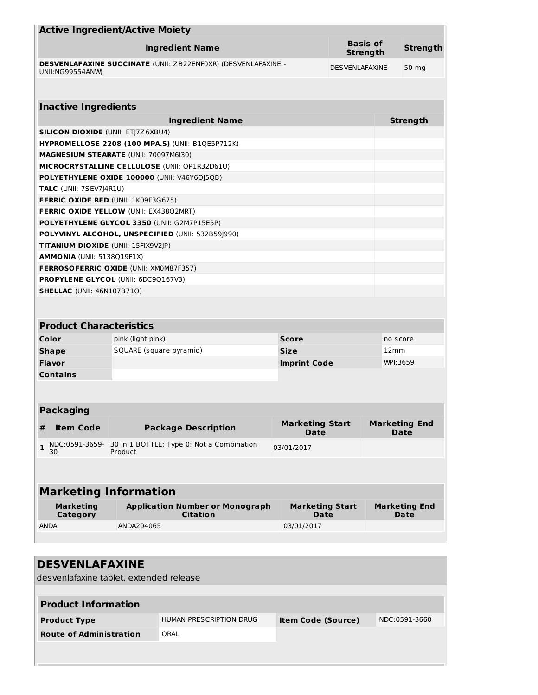| <b>Active Ingredient/Active Moiety</b>                |                                                               |                                |                 |           |                                     |
|-------------------------------------------------------|---------------------------------------------------------------|--------------------------------|-----------------|-----------|-------------------------------------|
| <b>Basis of</b><br><b>Ingredient Name</b><br>Strength |                                                               |                                | <b>Strength</b> |           |                                     |
| <b>UNII:NG99554ANW)</b>                               | DESVENLAFAXINE SUCCINATE (UNII: ZB22ENF0XR) (DESVENLAFAXINE - | <b>DES VENLAFAXINE</b>         |                 |           | 50 mg                               |
|                                                       |                                                               |                                |                 |           |                                     |
| <b>Inactive Ingredients</b>                           |                                                               |                                |                 |           |                                     |
|                                                       | <b>Ingredient Name</b>                                        |                                |                 |           | <b>Strength</b>                     |
| <b>SILICON DIOXIDE (UNII: ETJ7Z6XBU4)</b>             |                                                               |                                |                 |           |                                     |
|                                                       | <b>HYPROMELLOSE 2208 (100 MPA.S) (UNII: B1QE5P712K)</b>       |                                |                 |           |                                     |
|                                                       | MAGNESIUM STEARATE (UNII: 70097M6I30)                         |                                |                 |           |                                     |
|                                                       | MICROCRYSTALLINE CELLULOSE (UNII: OP1R32D61U)                 |                                |                 |           |                                     |
|                                                       | POLYETHYLENE OXIDE 100000 (UNII: V46Y6OJ5QB)                  |                                |                 |           |                                     |
| <b>TALC</b> (UNII: 7SEV7J4R1U)                        |                                                               |                                |                 |           |                                     |
|                                                       | FERRIC OXIDE RED (UNII: 1K09F3G675)                           |                                |                 |           |                                     |
|                                                       | FERRIC OXIDE YELLOW (UNII: EX43802MRT)                        |                                |                 |           |                                     |
|                                                       | POLYETHYLENE GLYCOL 3350 (UNII: G2M7P15E5P)                   |                                |                 |           |                                     |
|                                                       | POLYVINYL ALCOHOL, UNSPECIFIED (UNII: 532B59J990)             |                                |                 |           |                                     |
| <b>TITANIUM DIOXIDE (UNII: 15FIX9V2JP)</b>            |                                                               |                                |                 |           |                                     |
| AMMONIA (UNII: 5138Q19F1X)                            |                                                               |                                |                 |           |                                     |
|                                                       | FERROSOFERRIC OXIDE (UNII: XM0M87F357)                        |                                |                 |           |                                     |
|                                                       | <b>PROPYLENE GLYCOL (UNII: 6DC9Q167V3)</b>                    |                                |                 |           |                                     |
| <b>SHELLAC (UNII: 46N107B710)</b>                     |                                                               |                                |                 |           |                                     |
|                                                       |                                                               |                                |                 |           |                                     |
|                                                       |                                                               |                                |                 |           |                                     |
| <b>Product Characteristics</b>                        |                                                               |                                |                 |           |                                     |
| Color                                                 | pink (light pink)                                             | <b>Score</b>                   |                 | no score  |                                     |
| <b>Shape</b>                                          | SQUARE (square pyramid)                                       | <b>Size</b>                    |                 | 12mm      |                                     |
| Flavor                                                |                                                               | <b>Imprint Code</b>            |                 | WPI; 3659 |                                     |
| <b>Contains</b>                                       |                                                               |                                |                 |           |                                     |
|                                                       |                                                               |                                |                 |           |                                     |
|                                                       |                                                               |                                |                 |           |                                     |
| <b>Packaging</b>                                      |                                                               |                                |                 |           |                                     |
|                                                       |                                                               | <b>Marketing Start</b>         |                 |           | <b>Marketing End</b>                |
| <b>Item Code</b><br>#                                 | <b>Package Description</b>                                    | <b>Date</b>                    |                 |           | Date                                |
| NDC:0591-3659-<br>$\mathbf{1}$<br>30                  | 30 in 1 BOTTLE; Type 0: Not a Combination<br>Product          | 03/01/2017                     |                 |           |                                     |
|                                                       |                                                               |                                |                 |           |                                     |
| <b>Marketing Information</b>                          |                                                               |                                |                 |           |                                     |
| <b>Marketing</b><br>Category                          | <b>Application Number or Monograph</b><br><b>Citation</b>     | <b>Marketing Start</b><br>Date |                 |           | <b>Marketing End</b><br><b>Date</b> |
| <b>ANDA</b>                                           | ANDA204065                                                    | 03/01/2017                     |                 |           |                                     |
|                                                       |                                                               |                                |                 |           |                                     |

| <b>DESVENLAFAXINE</b>                   |                         |                           |               |  |  |  |
|-----------------------------------------|-------------------------|---------------------------|---------------|--|--|--|
|                                         |                         |                           |               |  |  |  |
| desvenlafaxine tablet, extended release |                         |                           |               |  |  |  |
|                                         |                         |                           |               |  |  |  |
| <b>Product Information</b>              |                         |                           |               |  |  |  |
| <b>Product Type</b>                     | HUMAN PRESCRIPTION DRUG | <b>Item Code (Source)</b> | NDC:0591-3660 |  |  |  |
| <b>Route of Administration</b>          | ORAL                    |                           |               |  |  |  |
|                                         |                         |                           |               |  |  |  |
|                                         |                         |                           |               |  |  |  |